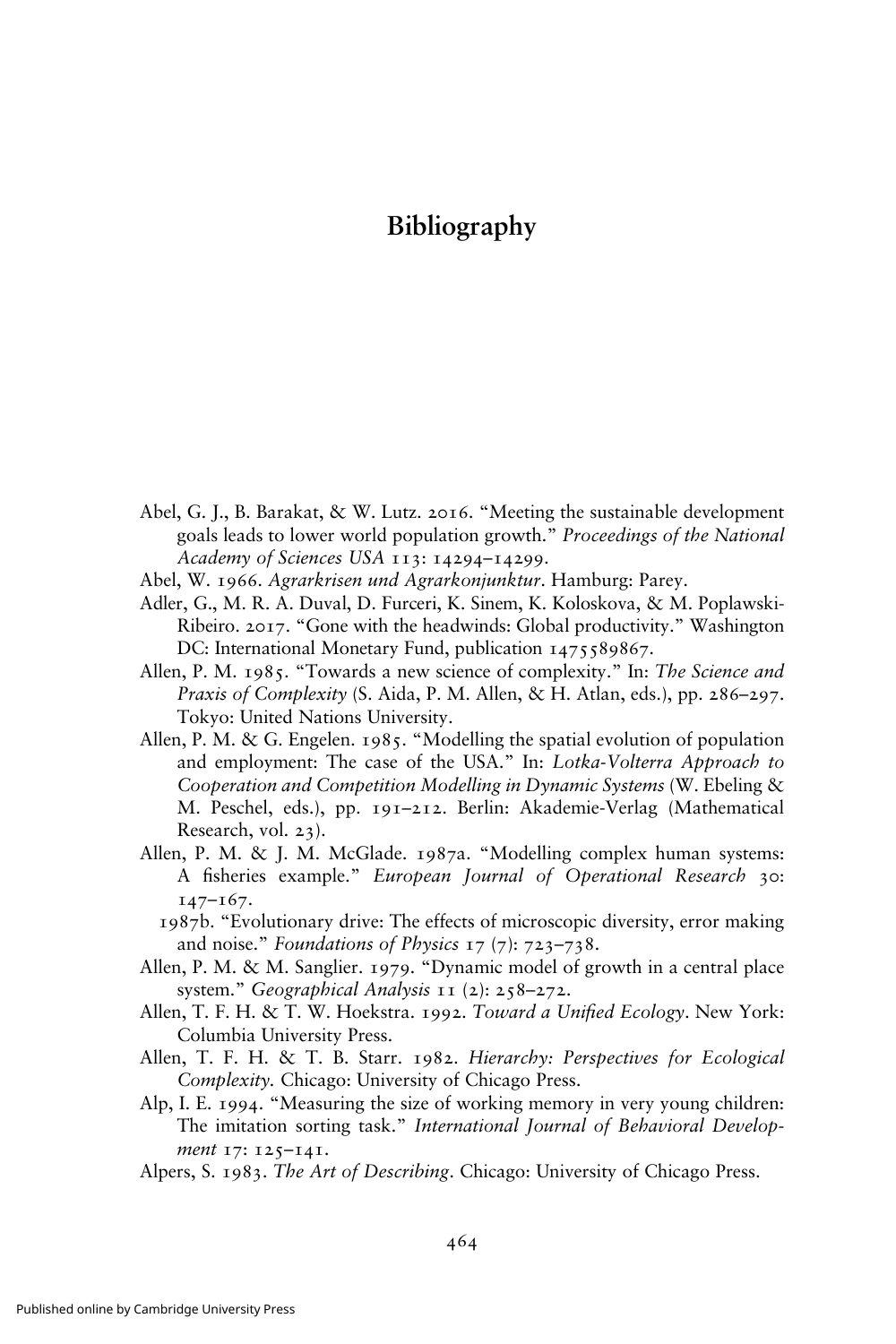## $\overline{\phantom{a}}$  -  $\overline{\phantom{a}}$  -  $\overline{\phantom{a}}$  -  $\overline{\phantom{a}}$

- Abel, G. J., B. Barakat, & W. Lutz. 2016. "Meeting the sustainable development goals leads to lower world population growth." Proceedings of the National Academy of Sciences USA 113: 14294–14299.
- Abel, W. 1966. Agrarkrisen und Agrarkonjunktur. Hamburg: Parey.
- Adler, G., M. R. A. Duval, D. Furceri, K. Sinem, K. Koloskova, & M. Poplawski-Ribeiro. 2017. "Gone with the headwinds: Global productivity." Washington DC: International Monetary Fund, publication 1475589867.
- Allen, P. M. 1985. "Towards a new science of complexity." In: The Science and Praxis of Complexity (S. Aida, P. M. Allen, & H. Atlan, eds.), pp. 286–297. Tokyo: United Nations University.
- Allen, P. M. & G. Engelen. 1985. "Modelling the spatial evolution of population and employment: The case of the USA." In: Lotka-Volterra Approach to Cooperation and Competition Modelling in Dynamic Systems (W. Ebeling & M. Peschel, eds.), pp. 191–212. Berlin: Akademie-Verlag (Mathematical Research, vol. 23).
- Allen, P. M. & J. M. McGlade. 1987a. "Modelling complex human systems: A fisheries example." European Journal of Operational Research 30: 147–167.
	- 1987b. "Evolutionary drive: The effects of microscopic diversity, error making and noise." Foundations of Physics 17 (7): 723–738.
- Allen, P. M. & M. Sanglier. 1979. "Dynamic model of growth in a central place system." Geographical Analysis 11 (2): 258-272.
- Allen, T. F. H. & T. W. Hoekstra. 1992. Toward a Unified Ecology. New York: Columbia University Press.
- Allen, T. F. H. & T. B. Starr. 1982. Hierarchy: Perspectives for Ecological Complexity. Chicago: University of Chicago Press.
- Alp, I. E. 1994. "Measuring the size of working memory in very young children: The imitation sorting task." International Journal of Behavioral Development 17: 125-141.
- Alpers, S. 1983. The Art of Describing. Chicago: University of Chicago Press.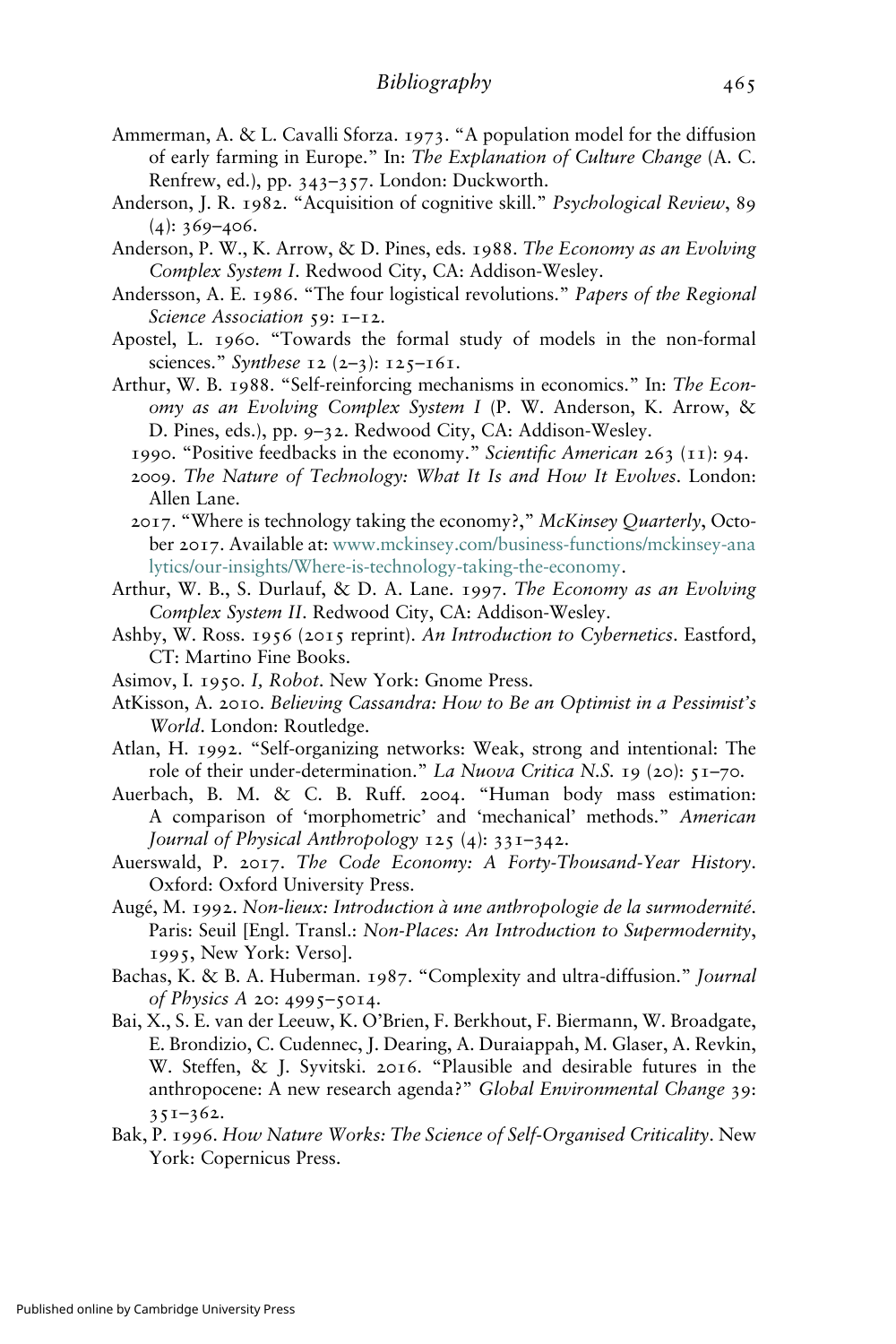- Ammerman, A. & L. Cavalli Sforza. 1973. "A population model for the diffusion of early farming in Europe." In: The Explanation of Culture Change (A. C. Renfrew, ed.), pp. 343–357. London: Duckworth.
- Anderson, J. R. 1982. "Acquisition of cognitive skill." Psychological Review, 89  $(4): 369 - 406.$
- Anderson, P. W., K. Arrow, & D. Pines, eds. 1988. The Economy as an Evolving Complex System I. Redwood City, CA: Addison-Wesley.
- Andersson, A. E. 1986. "The four logistical revolutions." Papers of the Regional Science Association 59: 1-12.
- Apostel, L. 1960. "Towards the formal study of models in the non-formal sciences." Synthese 12 (2–3):  $125 - 161$ .
- Arthur, W. B. 1988. "Self-reinforcing mechanisms in economics." In: The Economy as an Evolving Complex System I (P. W. Anderson, K. Arrow, & D. Pines, eds.), pp. 9–32. Redwood City, CA: Addison-Wesley.
	- 1990. "Positive feedbacks in the economy." Scientific American 263 (11): 94.
	- 2009. The Nature of Technology: What It Is and How It Evolves. London: Allen Lane.
	- 2017. "Where is technology taking the economy?," McKinsey Quarterly, October 2017. Available at: [www.mckinsey.com/business-functions/mckinsey-ana](https://www.mckinsey.com/business-functions/mckinsey-analytics/our-insights/Where-is-technology-taking-the-economy) [lytics/our-insights/Where-is-technology-taking-the-economy.](https://www.mckinsey.com/business-functions/mckinsey-analytics/our-insights/Where-is-technology-taking-the-economy)
- Arthur, W. B., S. Durlauf, & D. A. Lane. 1997. The Economy as an Evolving Complex System II. Redwood City, CA: Addison-Wesley.
- Ashby, W. Ross. 1956 (2015 reprint). An Introduction to Cybernetics. Eastford, CT: Martino Fine Books.
- Asimov, I. 1950. I, Robot. New York: Gnome Press.
- AtKisson, A. 2010. Believing Cassandra: How to Be an Optimist in a Pessimist's World. London: Routledge.
- Atlan, H. 1992. "Self-organizing networks: Weak, strong and intentional: The role of their under-determination." La Nuova Critica N.S. 19 (20): 51–70.
- Auerbach, B. M. & C. B. Ruff. 2004. "Human body mass estimation: A comparison of 'morphometric' and 'mechanical' methods." American Journal of Physical Anthropology 125 (4): 331–342.
- Auerswald, P. 2017. The Code Economy: A Forty-Thousand-Year History. Oxford: Oxford University Press.
- Augé, M. 1992. Non-lieux: Introduction à une anthropologie de la surmodernité. Paris: Seuil [Engl. Transl.: Non-Places: An Introduction to Supermodernity, 1995, New York: Verso].
- Bachas, K. & B. A. Huberman. 1987. "Complexity and ultra-diffusion." *Journal* of Physics A 20: 4995–5014.
- Bai, X., S. E. van der Leeuw, K. O'Brien, F. Berkhout, F. Biermann, W. Broadgate, E. Brondizio, C. Cudennec, J. Dearing, A. Duraiappah, M. Glaser, A. Revkin, W. Steffen, & J. Syvitski. 2016. "Plausible and desirable futures in the anthropocene: A new research agenda?" Global Environmental Change 39: 351–362.
- Bak, P. 1996. How Nature Works: The Science of Self-Organised Criticality. New York: Copernicus Press.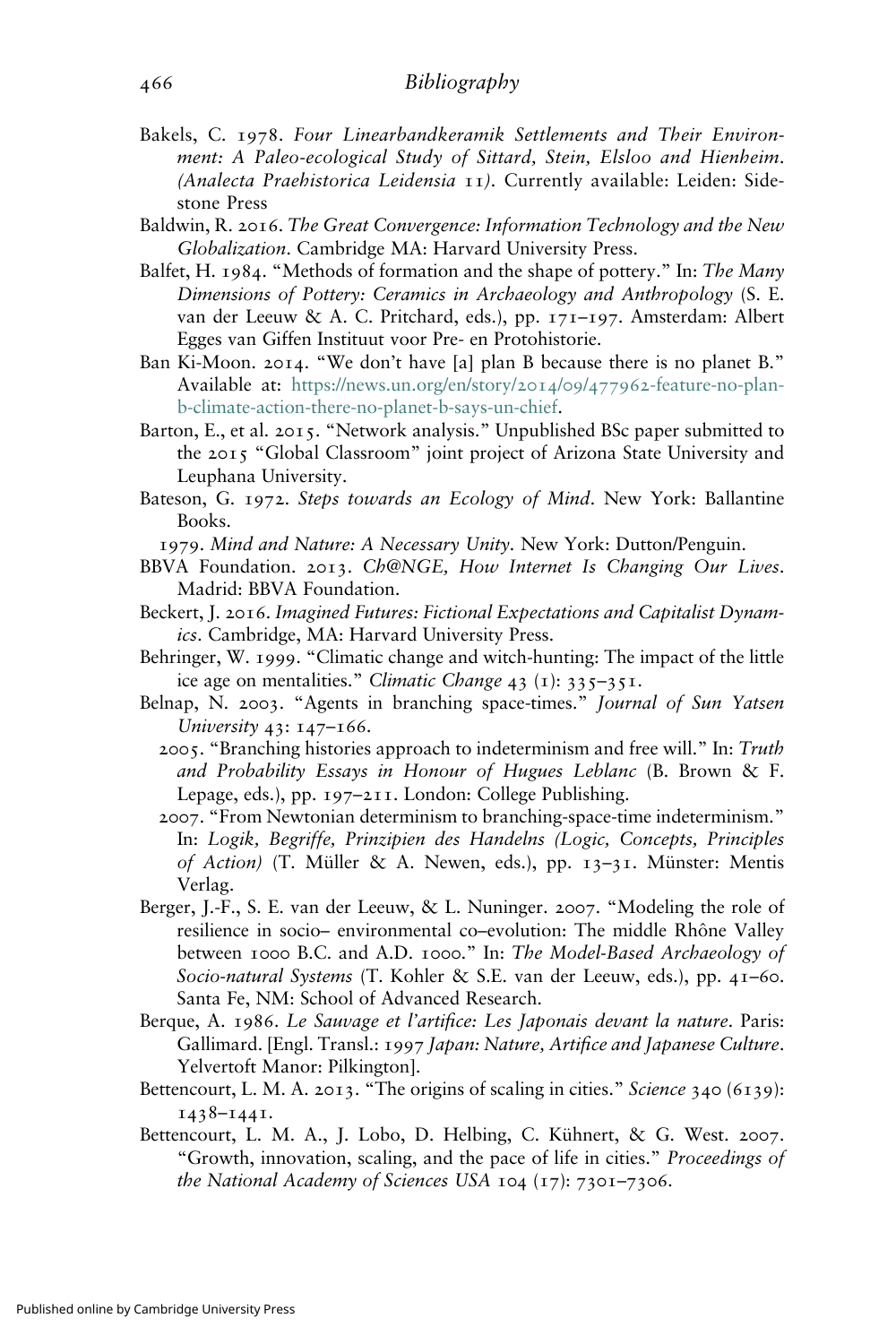- Bakels, C. 1978. Four Linearbandkeramik Settlements and Their Environment: A Paleo-ecological Study of Sittard, Stein, Elsloo and Hienheim. (Analecta Praehistorica Leidensia 11). Currently available: Leiden: Sidestone Press
- Baldwin, R. 2016. The Great Convergence: Information Technology and the New Globalization. Cambridge MA: Harvard University Press.
- Balfet, H. 1984. "Methods of formation and the shape of pottery." In: The Many Dimensions of Pottery: Ceramics in Archaeology and Anthropology (S. E. van der Leeuw & A. C. Pritchard, eds.), pp. 171–197. Amsterdam: Albert Egges van Giffen Instituut voor Pre- en Protohistorie.
- Ban Ki-Moon. 2014. "We don't have [a] plan B because there is no planet B." Available at: [https://news.un.org/en/story/](https://news.un.org/en/story/2014/09/477962-feature-no-plan-b-climate-action-there-no-planet-b-says-un-chief)2014/09/477962-feature-no-plan[b-climate-action-there-no-planet-b-says-un-chief.](https://news.un.org/en/story/2014/09/477962-feature-no-plan-b-climate-action-there-no-planet-b-says-un-chief)
- Barton, E., et al. 2015. "Network analysis." Unpublished BSc paper submitted to the 2015 "Global Classroom" joint project of Arizona State University and Leuphana University.
- Bateson, G. 1972. Steps towards an Ecology of Mind. New York: Ballantine Books.

1979. Mind and Nature: A Necessary Unity. New York: Dutton/Penguin.

- BBVA Foundation. 2013. Ch@NGE, How Internet Is Changing Our Lives. Madrid: BBVA Foundation.
- Beckert, J. 2016. Imagined Futures: Fictional Expectations and Capitalist Dynamics. Cambridge, MA: Harvard University Press.
- Behringer, W. 1999. "Climatic change and witch-hunting: The impact of the little ice age on mentalities." Climatic Change 43 (1):  $335-351$ .
- Belnap, N. 2003. "Agents in branching space-times." Journal of Sun Yatsen University 43: 147–166.
	- 2005. "Branching histories approach to indeterminism and free will." In: Truth and Probability Essays in Honour of Hugues Leblanc (B. Brown & F. Lepage, eds.), pp. 197–211. London: College Publishing.
	- 2007. "From Newtonian determinism to branching-space-time indeterminism." In: Logik, Begriffe, Prinzipien des Handelns (Logic, Concepts, Principles of Action) (T. Müller & A. Newen, eds.), pp. 13–31. Münster: Mentis Verlag.
- Berger, J.-F., S. E. van der Leeuw, & L. Nuninger. 2007. "Modeling the role of resilience in socio– environmental co–evolution: The middle Rhône Valley between 1000 B.C. and A.D. 1000." In: The Model-Based Archaeology of Socio-natural Systems (T. Kohler & S.E. van der Leeuw, eds.), pp. 41–60. Santa Fe, NM: School of Advanced Research.
- Berque, A. 1986. Le Sauvage et l'artifice: Les Japonais devant la nature. Paris: Gallimard. [Engl. Transl.: 1997 Japan: Nature, Artifice and Japanese Culture. Yelvertoft Manor: Pilkington].
- Bettencourt, L. M. A. 2013. "The origins of scaling in cities." Science 340 (6139): 1438–1441.
- Bettencourt, L. M. A., J. Lobo, D. Helbing, C. Kühnert, & G. West. 2007. "Growth, innovation, scaling, and the pace of life in cities." Proceedings of the National Academy of Sciences USA 104 (17): 7301–7306.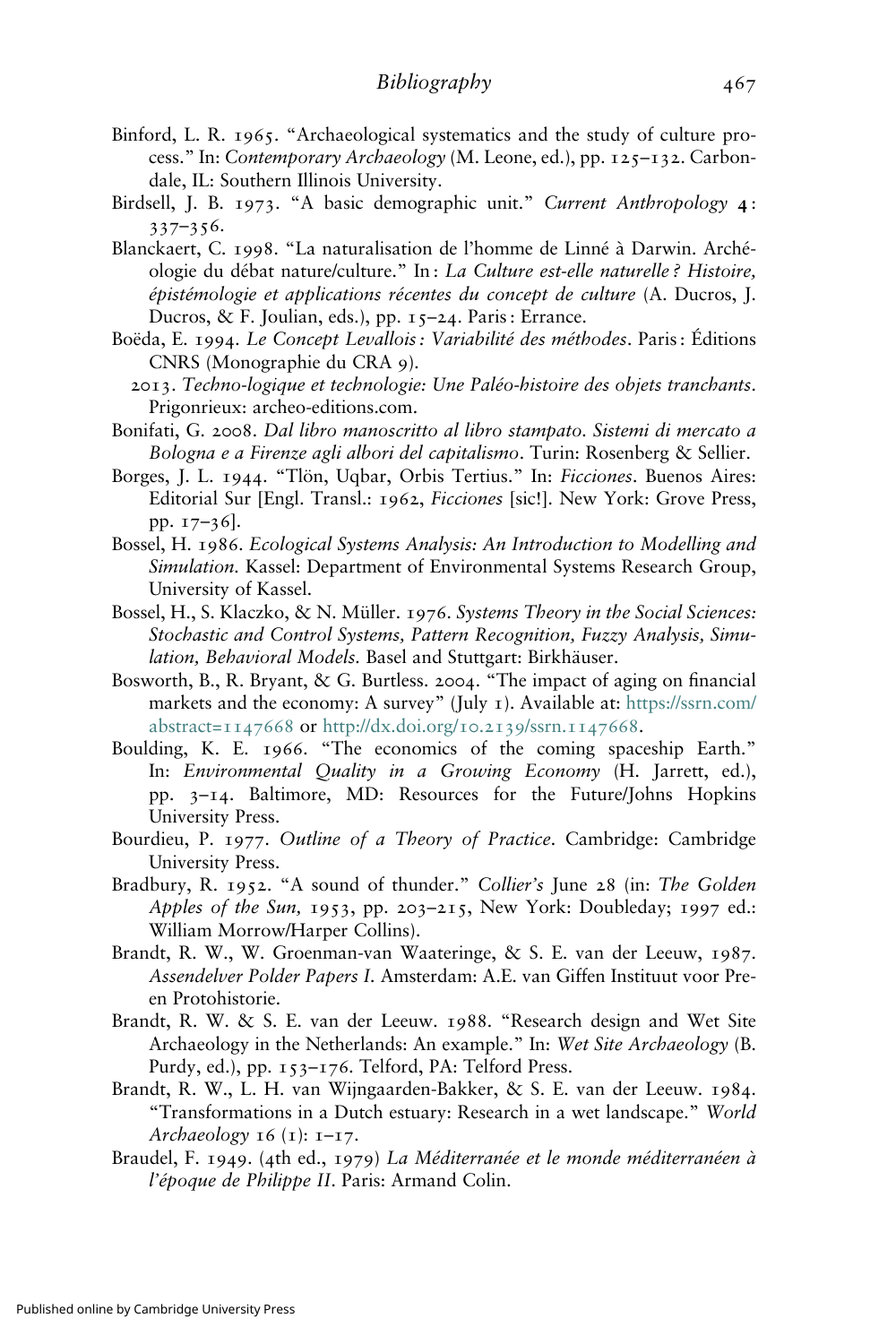- Binford, L. R. 1965. "Archaeological systematics and the study of culture process." In: Contemporary Archaeology (M. Leone, ed.), pp. 125–132. Carbondale, IL: Southern Illinois University.
- Birdsell, J. B. 1973. "A basic demographic unit." Current Anthropology 4: 337–356.
- Blanckaert, C. 1998. "La naturalisation de l'homme de Linné à Darwin. Archéologie du débat nature/culture." In : La Culture est-elle naturelle ? Histoire, épistémologie et applications récentes du concept de culture (A. Ducros, J. Ducros, & F. Joulian, eds.), pp. 15–24. Paris : Errance.
- Boëda, E. 1994. Le Concept Levallois : Variabilité des méthodes. Paris : Éditions CNRS (Monographie du CRA 9).
- 2013. Techno-logique et technologie: Une Paléo-histoire des objets tranchants. Prigonrieux: archeo-editions.com.
- Bonifati, G. 2008. Dal libro manoscritto al libro stampato. Sistemi di mercato a Bologna e a Firenze agli albori del capitalismo. Turin: Rosenberg & Sellier.
- Borges, J. L. 1944. "Tlön, Uqbar, Orbis Tertius." In: Ficciones. Buenos Aires: Editorial Sur [Engl. Transl.: 1962, Ficciones [sic!]. New York: Grove Press, pp. 17–36].
- Bossel, H. 1986. Ecological Systems Analysis: An Introduction to Modelling and Simulation. Kassel: Department of Environmental Systems Research Group, University of Kassel.
- Bossel, H., S. Klaczko, & N. Müller. 1976. Systems Theory in the Social Sciences: Stochastic and Control Systems, Pattern Recognition, Fuzzy Analysis, Simulation, Behavioral Models. Basel and Stuttgart: Birkhäuser.
- Bosworth, B., R. Bryant, & G. Burtless. 2004. "The impact of aging on financial markets and the economy: A survey" (July 1). Available at: [https://ssrn.com/](https://ssrn.com/abstract=1147668) [abstract=](https://ssrn.com/abstract=1147668)1147668 or [http://dx.doi.org/](http://dx.doi.org/10.2139/ssrn.1147668)10.2139/ssrn.1147668.
- Boulding, K. E. 1966. "The economics of the coming spaceship Earth." In: Environmental Quality in a Growing Economy (H. Jarrett, ed.), pp. 3–14. Baltimore, MD: Resources for the Future/Johns Hopkins University Press.
- Bourdieu, P. 1977. Outline of a Theory of Practice. Cambridge: Cambridge University Press.
- Bradbury, R. 1952. "A sound of thunder." Collier's June 28 (in: The Golden Apples of the Sun, 1953, pp. 203–215, New York: Doubleday; 1997 ed.: William Morrow/Harper Collins).
- Brandt, R. W., W. Groenman-van Waateringe, & S. E. van der Leeuw, 1987. Assendelver Polder Papers I. Amsterdam: A.E. van Giffen Instituut voor Preen Protohistorie.
- Brandt, R. W. & S. E. van der Leeuw. 1988. "Research design and Wet Site Archaeology in the Netherlands: An example." In: Wet Site Archaeology (B. Purdy, ed.), pp. 153–176. Telford, PA: Telford Press.
- Brandt, R. W., L. H. van Wijngaarden-Bakker, & S. E. van der Leeuw. 1984. "Transformations in a Dutch estuary: Research in a wet landscape." World Archaeology  $16$  (1):  $1 - 17$ .
- Braudel, F. 1949. (4th ed., 1979) La Méditerranée et le monde méditerranéen à l'époque de Philippe II. Paris: Armand Colin.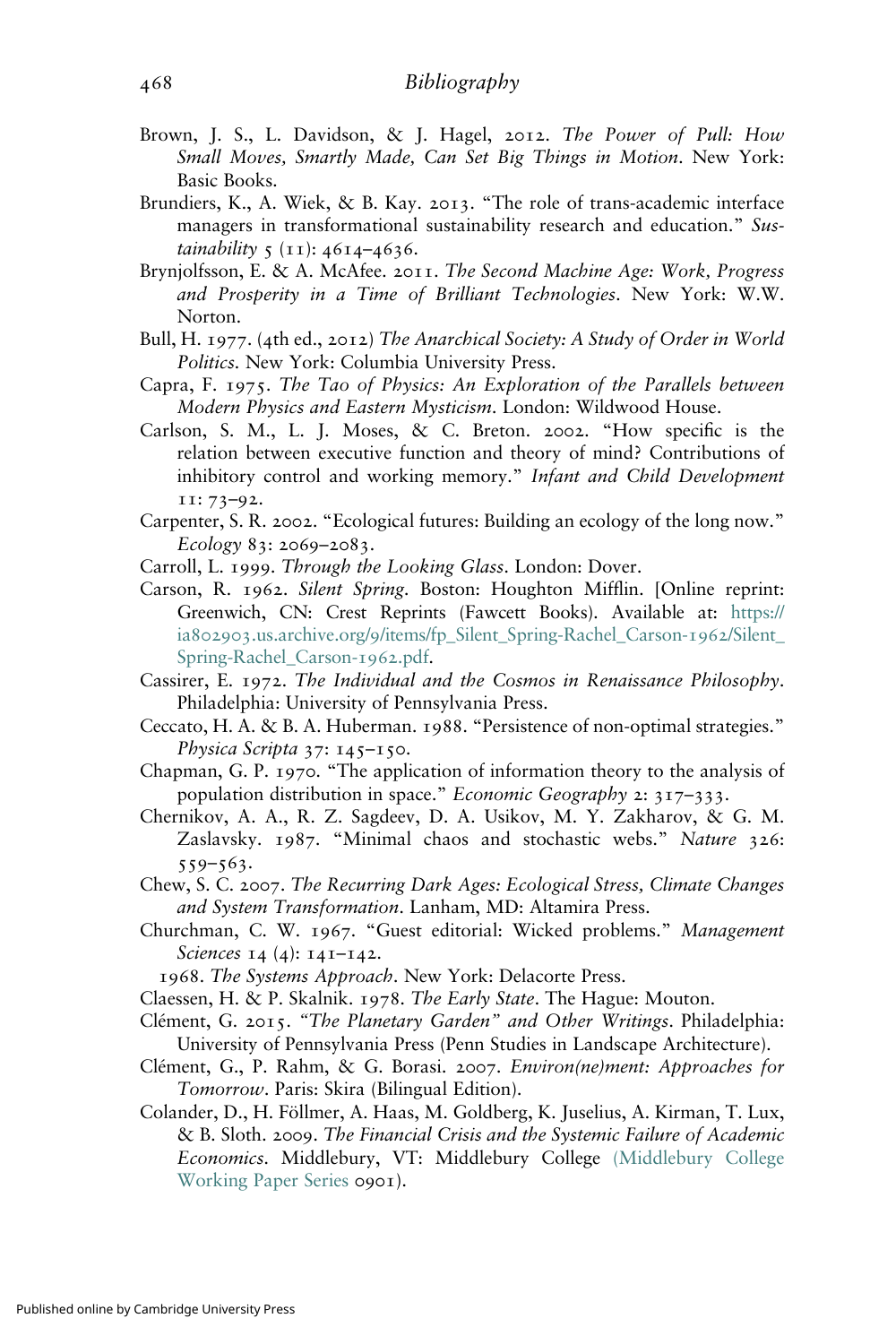- Brown, J. S., L. Davidson, & J. Hagel, 2012. The Power of Pull: How Small Moves, Smartly Made, Can Set Big Things in Motion. New York: Basic Books.
- Brundiers, K., A. Wiek, & B. Kay. 2013. "The role of trans-academic interface managers in transformational sustainability research and education." Sustainability 5 (11): 4614-4636.
- Brynjolfsson, E. & A. McAfee. 2011. The Second Machine Age: Work, Progress and Prosperity in a Time of Brilliant Technologies. New York: W.W. Norton.
- Bull, H. 1977. (4th ed., 2012) The Anarchical Society: A Study of Order in World Politics. New York: Columbia University Press.
- Capra, F. 1975. The Tao of Physics: An Exploration of the Parallels between Modern Physics and Eastern Mysticism. London: Wildwood House.
- Carlson, S. M., L. J. Moses, & C. Breton. 2002. "How specific is the relation between executive function and theory of mind? Contributions of inhibitory control and working memory." Infant and Child Development 11: 73–92.
- Carpenter, S. R. 2002. "Ecological futures: Building an ecology of the long now." Ecology 83: 2069–2083.
- Carroll, L. 1999. Through the Looking Glass. London: Dover.
- Carson, R. 1962. Silent Spring. Boston: Houghton Mifflin. [Online reprint: Greenwich, CN: Crest Reprints (Fawcett Books). Available at: [https://](https://ia802903.us.archive.org/9/items/fp_Silent_Spring-Rachel_Carson-1962/Silent_Spring-Rachel_Carson-1962.pdf) ia802903.us.archive.org/9[/items/fp\\_Silent\\_Spring-Rachel\\_Carson-](https://ia802903.us.archive.org/9/items/fp_Silent_Spring-Rachel_Carson-1962/Silent_Spring-Rachel_Carson-1962.pdf)1962/Silent\_ [Spring-Rachel\\_Carson-](https://ia802903.us.archive.org/9/items/fp_Silent_Spring-Rachel_Carson-1962/Silent_Spring-Rachel_Carson-1962.pdf)1962.pdf.
- Cassirer, E. 1972. The Individual and the Cosmos in Renaissance Philosophy. Philadelphia: University of Pennsylvania Press.
- Ceccato, H. A. & B. A. Huberman. 1988. "Persistence of non-optimal strategies." Physica Scripta 37: 145-150.
- Chapman, G. P. 1970. "The application of information theory to the analysis of population distribution in space." Economic Geography 2: 317–333.
- Chernikov, A. A., R. Z. Sagdeev, D. A. Usikov, M. Y. Zakharov, & G. M. Zaslavsky. 1987. "Minimal chaos and stochastic webs." Nature 326: 559–563.
- Chew, S. C. 2007. The Recurring Dark Ages: Ecological Stress, Climate Changes and System Transformation. Lanham, MD: Altamira Press.
- Churchman, C. W. 1967. "Guest editorial: Wicked problems." Management Sciences 14 (4): 141-142.

1968. The Systems Approach. New York: Delacorte Press.

- Claessen, H. & P. Skalnik. 1978. The Early State. The Hague: Mouton.
- Clément, G. 2015. "The Planetary Garden" and Other Writings. Philadelphia: University of Pennsylvania Press (Penn Studies in Landscape Architecture).
- Clément, G., P. Rahm, & G. Borasi. 2007. Environ(ne)ment: Approaches for Tomorrow. Paris: Skira (Bilingual Edition).
- Colander, D., H. Föllmer, A. Haas, M. Goldberg, K. Juselius, A. Kirman, T. Lux, & B. Sloth. 2009. The Financial Crisis and the Systemic Failure of Academic Economics. Middlebury, VT: Middlebury College [\(Middlebury College](https://ideas.repec.org/s/mdl/mdlpap.html) [Working Paper Series](https://ideas.repec.org/s/mdl/mdlpap.html) 0901).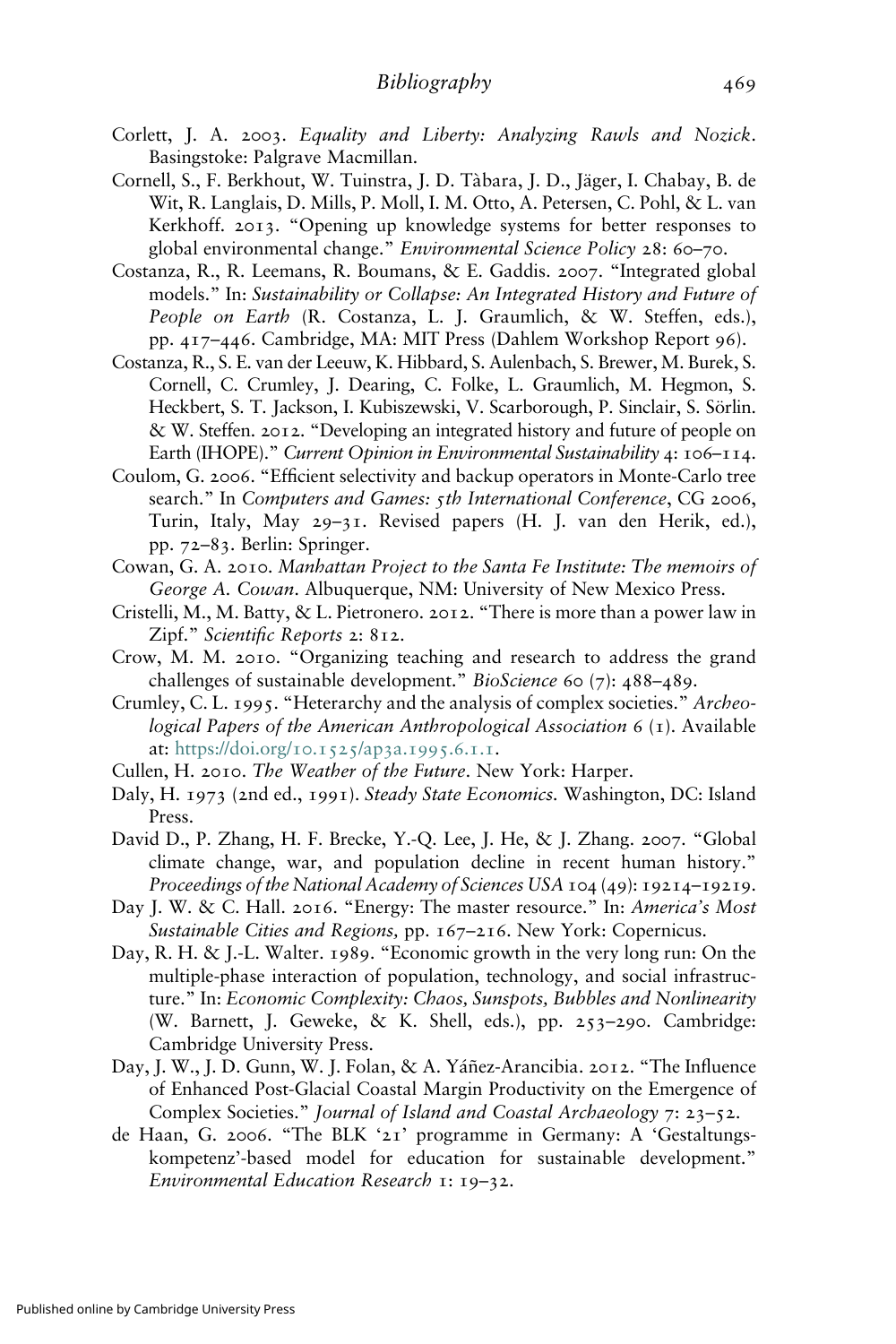- Corlett, J. A. 2003. Equality and Liberty: Analyzing Rawls and Nozick. Basingstoke: Palgrave Macmillan.
- Cornell, S., F. Berkhout, W. Tuinstra, J. D. Tàbara, J. D., Jäger, I. Chabay, B. de Wit, R. Langlais, D. Mills, P. Moll, I. M. Otto, A. Petersen, C. Pohl, & L. van Kerkhoff. 2013. "Opening up knowledge systems for better responses to global environmental change." Environmental Science Policy 28: 60–70.
- Costanza, R., R. Leemans, R. Boumans, & E. Gaddis. 2007. "Integrated global models." In: Sustainability or Collapse: An Integrated History and Future of People on Earth (R. Costanza, L. J. Graumlich, & W. Steffen, eds.), pp. 417–446. Cambridge, MA: MIT Press (Dahlem Workshop Report 96).
- Costanza, R., S. E. van der Leeuw, K. Hibbard, S. Aulenbach, S. Brewer, M. Burek, S. Cornell, C. Crumley, J. Dearing, C. Folke, L. Graumlich, M. Hegmon, S. Heckbert, S. T. Jackson, I. Kubiszewski, V. Scarborough, P. Sinclair, S. Sörlin. & W. Steffen. 2012. "Developing an integrated history and future of people on Earth (IHOPE)." Current Opinion in Environmental Sustainability 4: 106–114.
- Coulom, G. 2006. "Efficient selectivity and backup operators in Monte-Carlo tree search." In Computers and Games: 5th International Conference, CG 2006, Turin, Italy, May 29–31. Revised papers (H. J. van den Herik, ed.), pp. 72–83. Berlin: Springer.
- Cowan, G. A. 2010. Manhattan Project to the Santa Fe Institute: The memoirs of George A. Cowan. Albuquerque, NM: University of New Mexico Press.
- Cristelli, M., M. Batty, & L. Pietronero. 2012. "There is more than a power law in Zipf." Scientific Reports 2: 812.
- Crow, M. M. 2010. "Organizing teaching and research to address the grand challenges of sustainable development." BioScience 60 (7): 488–489.
- Crumley, C. L. 1995. "Heterarchy and the analysis of complex societies." Archeological Papers of the American Anthropological Association 6 (1). Available at: [https://doi.org/](https://doi.org/10.1525/ap3a.1995.6.1.1)10.1525/ap3a.1995.6.1.1.
- Cullen, H. 2010. The Weather of the Future. New York: Harper.
- Daly, H. 1973 (2nd ed., 1991). Steady State Economics. Washington, DC: Island Press.
- David D., P. Zhang, H. F. Brecke, Y.-Q. Lee, J. He, & J. Zhang. 2007. "Global climate change, war, and population decline in recent human history." Proceedings of the National Academy of Sciences USA 104 (49): 19214–19219.
- Day J. W. & C. Hall. 2016. "Energy: The master resource." In: America's Most Sustainable Cities and Regions, pp. 167-216. New York: Copernicus.
- Day, R. H. & J.-L. Walter. 1989. "Economic growth in the very long run: On the multiple-phase interaction of population, technology, and social infrastructure." In: Economic Complexity: Chaos, Sunspots, Bubbles and Nonlinearity (W. Barnett, J. Geweke, & K. Shell, eds.), pp. 253–290. Cambridge: Cambridge University Press.
- Day, J. W., J. D. Gunn, W. J. Folan, & A. Yáñez-Arancibia. 2012. "The Influence of Enhanced Post-Glacial Coastal Margin Productivity on the Emergence of Complex Societies." Journal of Island and Coastal Archaeology 7: 23–52.
- de Haan, G. 2006. "The BLK '21' programme in Germany: A 'Gestaltungskompetenz'-based model for education for sustainable development." Environmental Education Research 1: 19–32.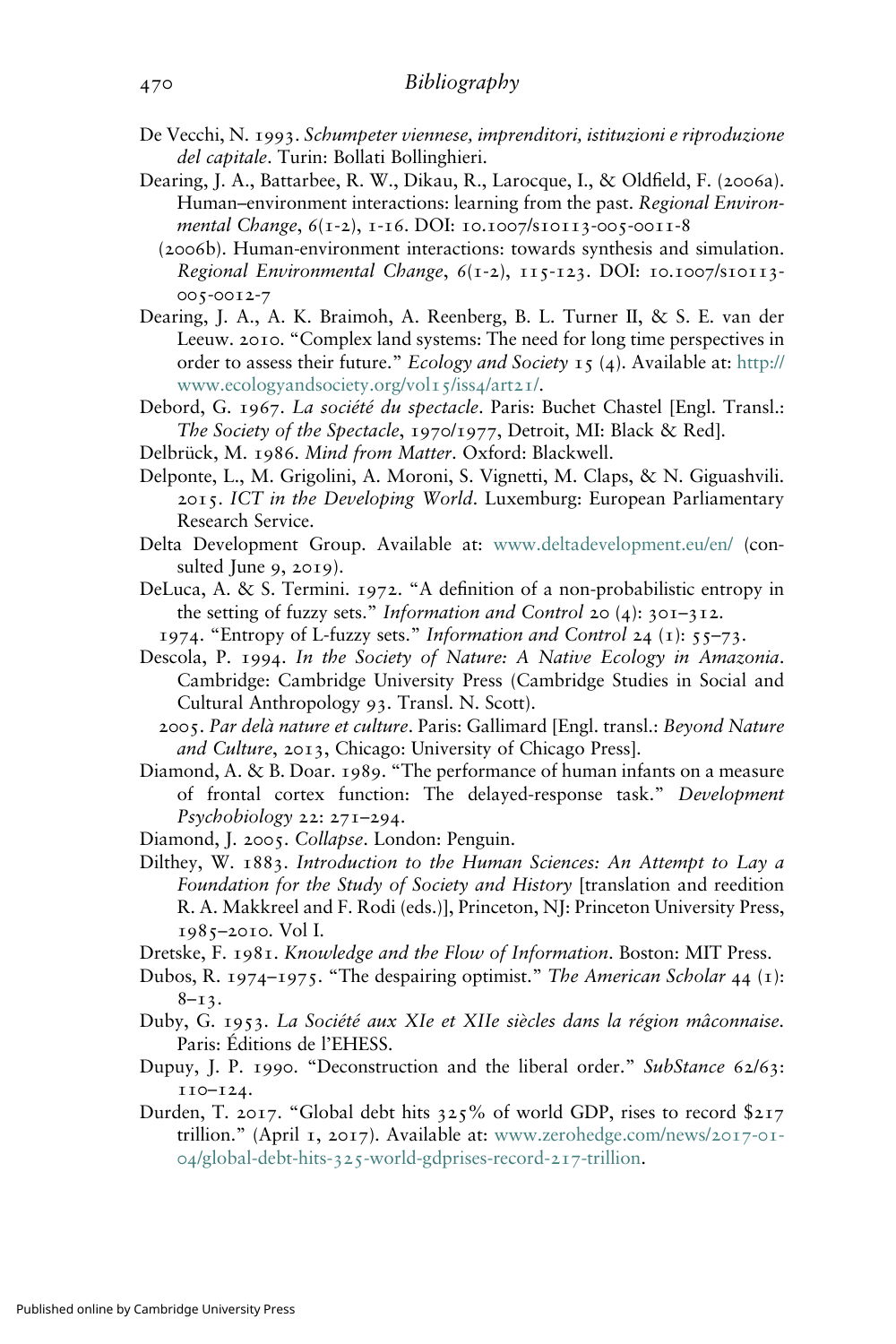- De Vecchi, N. 1993. Schumpeter viennese, imprenditori, istituzioni e riproduzione del capitale. Turin: Bollati Bollinghieri.
- Dearing, J. A., Battarbee, R. W., Dikau, R., Larocque, I., & Oldfield, F. (2006a). Human–environment interactions: learning from the past. Regional Environmental Change, 6(1-2), 1-16. DOI: 10.1007/s10113-005-0011-8
	- (2006b). Human-environment interactions: towards synthesis and simulation. Regional Environmental Change, 6(1-2), 115-123. DOI: 10.1007/s10113- 005-0012-7
- Dearing, J. A., A. K. Braimoh, A. Reenberg, B. L. Turner II, & S. E. van der Leeuw. 2010. "Complex land systems: The need for long time perspectives in order to assess their future." Ecology and Society 15 (4). Available at: [http://](http://www.ecologyandsociety.org/vol15/iss4/art21/) [www.ecologyandsociety.org/vol](http://www.ecologyandsociety.org/vol15/iss4/art21/)15/iss4/art21/.
- Debord, G. 1967. La société du spectacle. Paris: Buchet Chastel [Engl. Transl.: The Society of the Spectacle, 1970/1977, Detroit, MI: Black & Red].
- Delbrück, M. 1986. Mind from Matter. Oxford: Blackwell.
- Delponte, L., M. Grigolini, A. Moroni, S. Vignetti, M. Claps, & N. Giguashvili. 2015. ICT in the Developing World. Luxemburg: European Parliamentary Research Service.
- Delta Development Group. Available at: [www.deltadevelopment.eu/en/](http://www.deltadevelopment.eu/en/) (consulted June 9, 2019).
- DeLuca, A. & S. Termini. 1972. "A definition of a non-probabilistic entropy in the setting of fuzzy sets." *Information and Control* 20 (4):  $30I-3I2$ .
	- 1974. "Entropy of L-fuzzy sets." Information and Control 24 (1):  $55-73$ .
- Descola, P. 1994. In the Society of Nature: A Native Ecology in Amazonia. Cambridge: Cambridge University Press (Cambridge Studies in Social and Cultural Anthropology 93. Transl. N. Scott).
	- 2005. Par delà nature et culture. Paris: Gallimard [Engl. transl.: Beyond Nature and Culture, 2013, Chicago: University of Chicago Press].
- Diamond, A. & B. Doar. 1989. "The performance of human infants on a measure of frontal cortex function: The delayed-response task." Development Psychobiology 22: 271–294.
- Diamond, J. 2005. Collapse. London: Penguin.
- Dilthey, W. 1883. Introduction to the Human Sciences: An Attempt to Lay a Foundation for the Study of Society and History [translation and reedition R. A. Makkreel and F. Rodi (eds.)], Princeton, NJ: Princeton University Press, 1985–2010. Vol I.
- Dretske, F. 1981. Knowledge and the Flow of Information. Boston: MIT Press.
- Dubos, R. 1974–1975. "The despairing optimist." The American Scholar 44 (1):  $8-13$ .
- Duby, G. 1953. La Société aux XIe et XIIe siècles dans la région mâconnaise. Paris: Éditions de l'EHESS.
- Dupuy, J. P. 1990. "Deconstruction and the liberal order." SubStance 62/63: 110–124.
- Durden, T. 2017. "Global debt hits 325% of world GDP, rises to record \$217 trillion." (April 1, 2017). Available at: [www.zerohedge.com/news/](https://www.zerohedge.com/news/2017-01-04/global-debt-hits-325-world-gdprises-record-217-trillion)2017-01- 04/global-debt-hits-325[-world-gdprises-record-](https://www.zerohedge.com/news/2017-01-04/global-debt-hits-325-world-gdprises-record-217-trillion)217-trillion.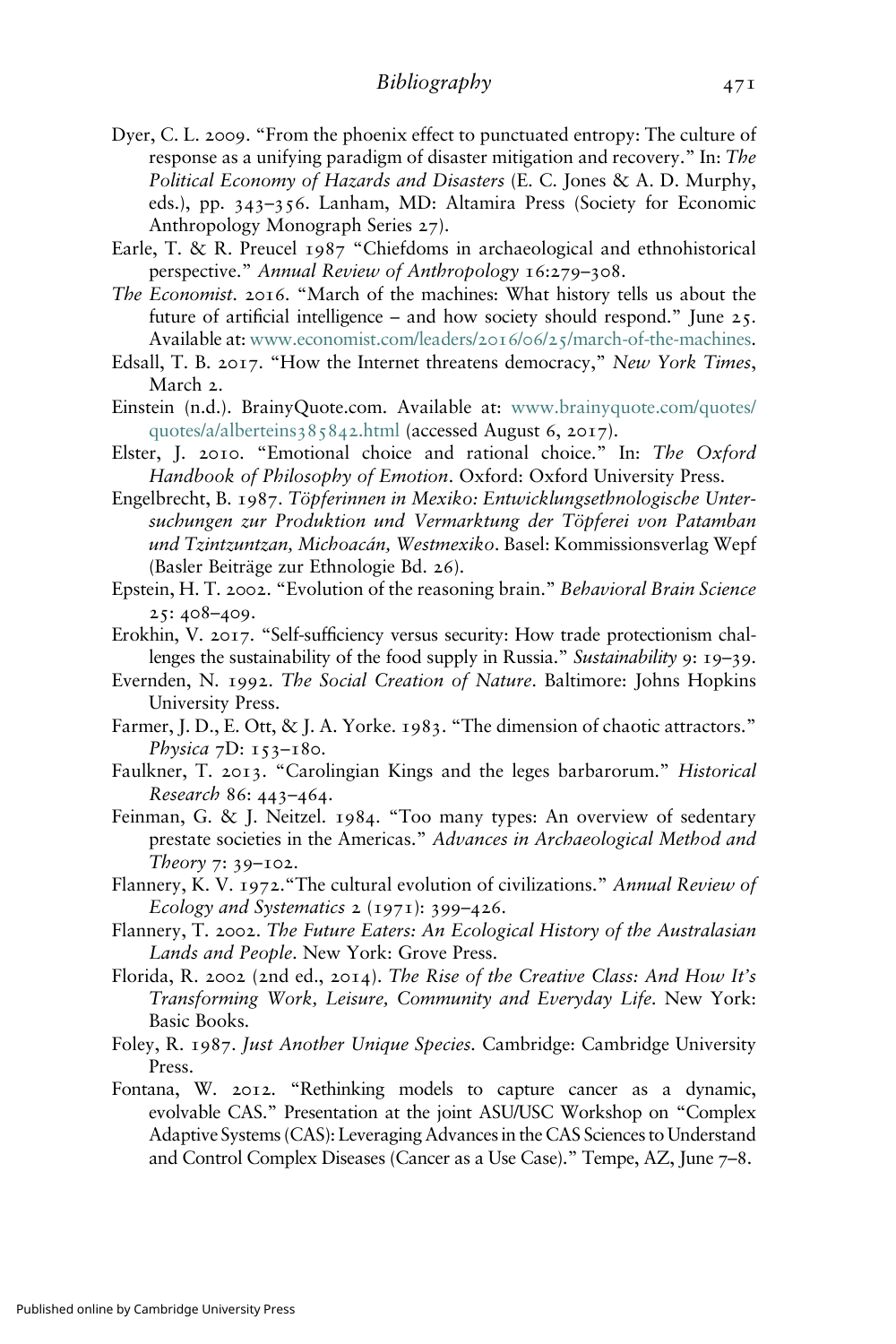- Dyer, C. L. 2009. "From the phoenix effect to punctuated entropy: The culture of response as a unifying paradigm of disaster mitigation and recovery." In: The Political Economy of Hazards and Disasters (E. C. Jones & A. D. Murphy, eds.), pp. 343–356. Lanham, MD: Altamira Press (Society for Economic Anthropology Monograph Series 27).
- Earle, T. & R. Preucel 1987 "Chiefdoms in archaeological and ethnohistorical perspective." Annual Review of Anthropology 16:279–308.
- The Economist. 2016. "March of the machines: What history tells us about the future of artificial intelligence – and how society should respond." June 25. Available at: [www.economist.com/leaders/](https://www.economist.com/leaders/2016/06/25/march-of-the-machines)2016/06/25/march-of-the-machines.
- Edsall, T. B. 2017. "How the Internet threatens democracy," New York Times, March 2.
- Einstein (n.d.). BrainyQuote.com. Available at: [www.brainyquote.com/quotes/](https://www.brainyquote.com/quotes/quotes/a/alberteins385842.html) [quotes/a/alberteins](https://www.brainyquote.com/quotes/quotes/a/alberteins385842.html)385842.html (accessed August 6, 2017).
- Elster, J. 2010. "Emotional choice and rational choice." In: The Oxford Handbook of Philosophy of Emotion. Oxford: Oxford University Press.
- Engelbrecht, B. 1987. Töpferinnen in Mexiko: Entwicklungsethnologische Untersuchungen zur Produktion und Vermarktung der Töpferei von Patamban und Tzintzuntzan, Michoacán, Westmexiko. Basel: Kommissionsverlag Wepf (Basler Beiträge zur Ethnologie Bd. 26).
- Epstein, H. T. 2002. "Evolution of the reasoning brain." Behavioral Brain Science 25: 408–409.
- Erokhin, V. 2017. "Self-sufficiency versus security: How trade protectionism challenges the sustainability of the food supply in Russia." Sustainability 9: 19–39.
- Evernden, N. 1992. The Social Creation of Nature. Baltimore: Johns Hopkins University Press.
- Farmer, J. D., E. Ott, & J. A. Yorke. 1983. "The dimension of chaotic attractors." Physica 7D: 153-180.
- Faulkner, T. 2013. "Carolingian Kings and the leges barbarorum." Historical Research 86: 443–464.
- Feinman, G. & J. Neitzel. 1984. "Too many types: An overview of sedentary prestate societies in the Americas." Advances in Archaeological Method and Theory 7: 39–102.
- Flannery, K. V. 1972. "The cultural evolution of civilizations." Annual Review of Ecology and Systematics  $2$  (1971): 399–426.
- Flannery, T. 2002. The Future Eaters: An Ecological History of the Australasian Lands and People. New York: Grove Press.
- Florida, R. 2002 (2nd ed., 2014). The Rise of the Creative Class: And How It's Transforming Work, Leisure, Community and Everyday Life. New York: Basic Books.
- Foley, R. 1987. Just Another Unique Species. Cambridge: Cambridge University Press.
- Fontana, W. 2012. "Rethinking models to capture cancer as a dynamic, evolvable CAS." Presentation at the joint ASU/USC Workshop on "Complex Adaptive Systems (CAS): Leveraging Advances in the CAS Sciences to Understand and Control Complex Diseases (Cancer as a Use Case)." Tempe, AZ, June 7–8.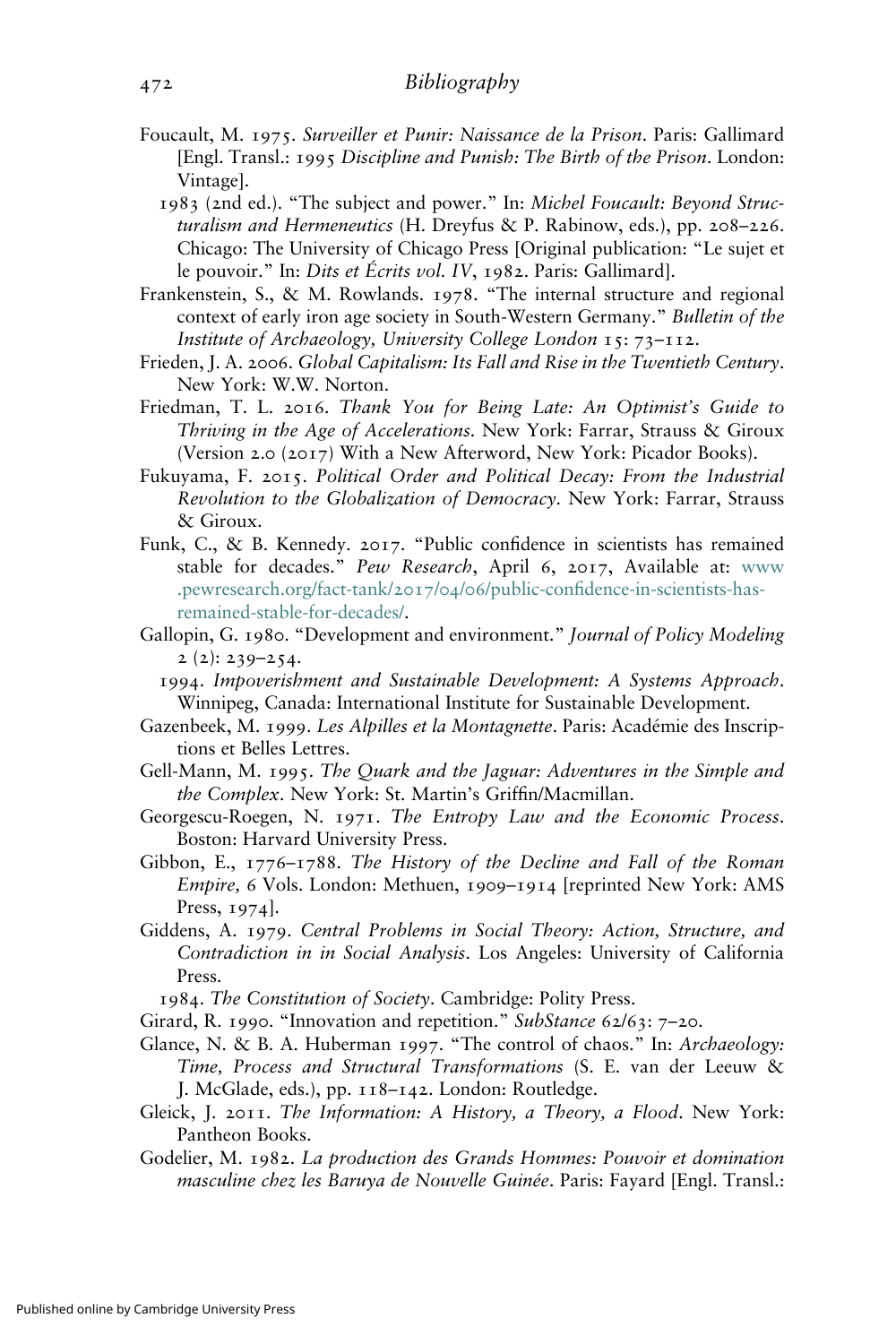- Foucault, M. 1975. Surveiller et Punir: Naissance de la Prison. Paris: Gallimard [Engl. Transl.: 1995 Discipline and Punish: The Birth of the Prison. London: Vintage].
	- 1983 (2nd ed.). "The subject and power." In: Michel Foucault: Beyond Structuralism and Hermeneutics (H. Dreyfus & P. Rabinow, eds.), pp. 208–226. Chicago: The University of Chicago Press [Original publication: "Le sujet et le pouvoir." In: Dits et Écrits vol. IV, 1982. Paris: Gallimard].
- Frankenstein, S., & M. Rowlands. 1978. "The internal structure and regional context of early iron age society in South-Western Germany." Bulletin of the Institute of Archaeology, University College London 15: 73–112.
- Frieden, J. A. 2006. Global Capitalism: Its Fall and Rise in the Twentieth Century. New York: W.W. Norton.
- Friedman, T. L. 2016. Thank You for Being Late: An Optimist's Guide to Thriving in the Age of Accelerations. New York: Farrar, Strauss & Giroux (Version 2.0 (2017) With a New Afterword, New York: Picador Books).
- Fukuyama, F. 2015. Political Order and Political Decay: From the Industrial Revolution to the Globalization of Democracy. New York: Farrar, Strauss & Giroux.
- Funk, C., & B. Kennedy. 2017. "Public confidence in scientists has remained stable for decades." Pew Research, April 6, 2017, Available at: [www](http://www.pewresearch.org/fact-tank/2017/04/06/public-confidence-in-scientists-has-remained-stable-for-decades/) [.pewresearch.org/fact-tank/](http://www.pewresearch.org/fact-tank/2017/04/06/public-confidence-in-scientists-has-remained-stable-for-decades/)2017/04/06/public-confidence-in-scientists-has[remained-stable-for-decades/.](http://www.pewresearch.org/fact-tank/2017/04/06/public-confidence-in-scientists-has-remained-stable-for-decades/)
- Gallopin, G. 1980. "Development and environment." Journal of Policy Modeling  $2(2): 239 - 254.$ 
	- 1994. Impoverishment and Sustainable Development: A Systems Approach. Winnipeg, Canada: International Institute for Sustainable Development.
- Gazenbeek, M. 1999. Les Alpilles et la Montagnette. Paris: Académie des Inscriptions et Belles Lettres.
- Gell-Mann, M. 1995. The Quark and the Jaguar: Adventures in the Simple and the Complex. New York: St. Martin's Griffin/Macmillan.
- Georgescu-Roegen, N. 1971. The Entropy Law and the Economic Process. Boston: Harvard University Press.
- Gibbon, E., 1776–1788. The History of the Decline and Fall of the Roman Empire, 6 Vols. London: Methuen, 1909–1914 [reprinted New York: AMS Press, 1974].
- Giddens, A. 1979. Central Problems in Social Theory: Action, Structure, and Contradiction in in Social Analysis. Los Angeles: University of California Press.

1984. The Constitution of Society. Cambridge: Polity Press.

- Girard, R. 1990. "Innovation and repetition." SubStance 62/63: 7-20.
- Glance, N. & B. A. Huberman 1997. "The control of chaos." In: Archaeology: Time, Process and Structural Transformations (S. E. van der Leeuw & J. McGlade, eds.), pp. 118–142. London: Routledge.
- Gleick, J. 2011. The Information: A History, a Theory, a Flood. New York: Pantheon Books.
- Godelier, M. 1982. La production des Grands Hommes: Pouvoir et domination masculine chez les Baruya de Nouvelle Guinée. Paris: Fayard [Engl. Transl.: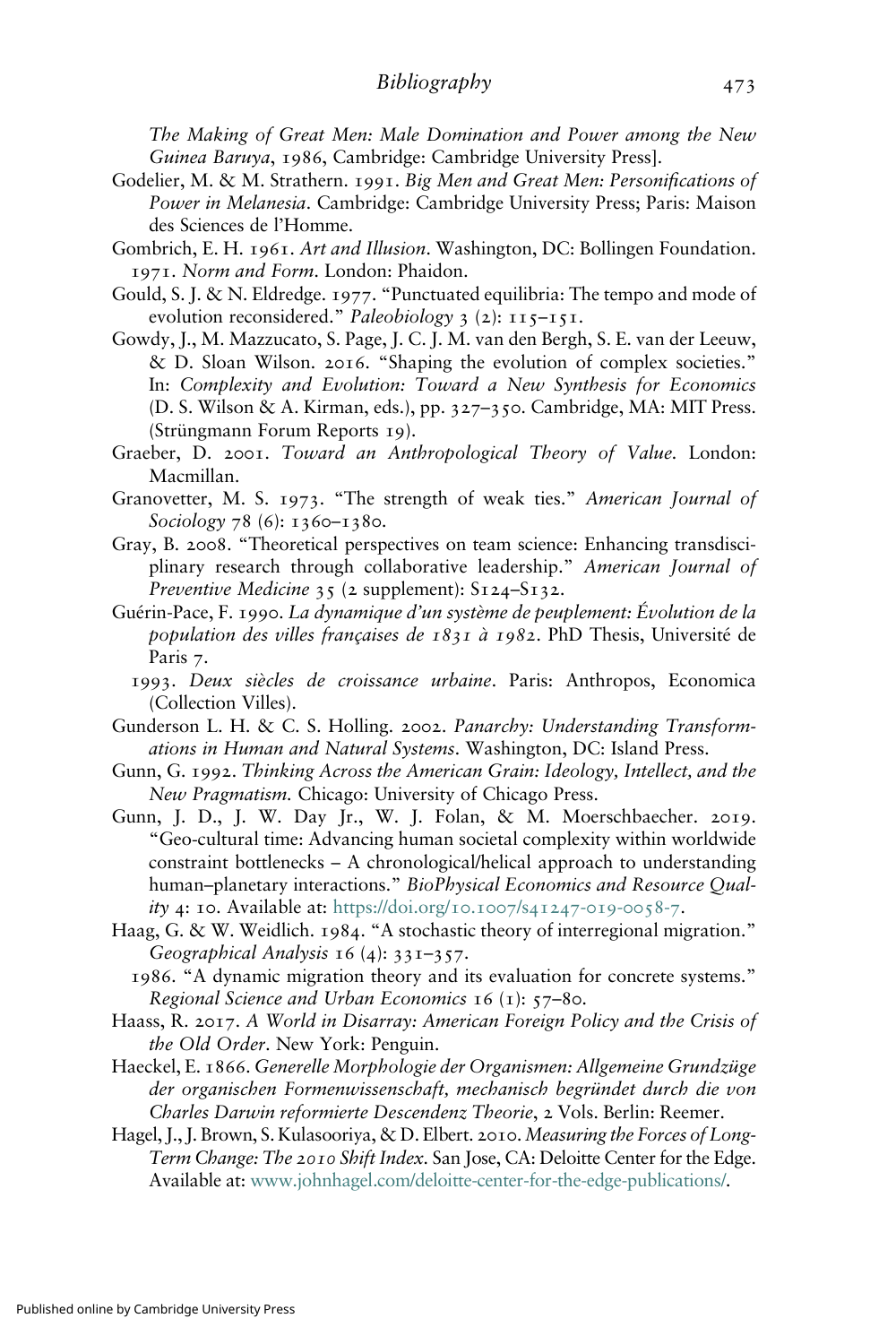The Making of Great Men: Male Domination and Power among the New Guinea Baruya, 1986, Cambridge: Cambridge University Press].

Godelier, M. & M. Strathern. 1991. Big Men and Great Men: Personifications of Power in Melanesia. Cambridge: Cambridge University Press; Paris: Maison des Sciences de l'Homme.

Gombrich, E. H. 1961. Art and Illusion. Washington, DC: Bollingen Foundation. 1971. Norm and Form. London: Phaidon.

- Gould, S. J. & N. Eldredge. 1977. "Punctuated equilibria: The tempo and mode of evolution reconsidered." Paleobiology  $3$  (2):  $115-151$ .
- Gowdy, J., M. Mazzucato, S. Page, J. C. J. M. van den Bergh, S. E. van der Leeuw, & D. Sloan Wilson. 2016. "Shaping the evolution of complex societies." In: Complexity and Evolution: Toward a New Synthesis for Economics (D. S. Wilson & A. Kirman, eds.), pp. 327–350. Cambridge, MA: MIT Press. (Strüngmann Forum Reports 19).
- Graeber, D. 2001. Toward an Anthropological Theory of Value. London: Macmillan.
- Granovetter, M. S. 1973. "The strength of weak ties." American Journal of Sociology 78 (6): 1360–1380.
- Gray, B. 2008. "Theoretical perspectives on team science: Enhancing transdisciplinary research through collaborative leadership." American Journal of Preventive Medicine 35 (2 supplement): S124-S132.
- Guérin-Pace, F. 1990. La dynamique d'un système de peuplement: Évolution de la population des villes françaises de 1831 à 1982. PhD Thesis, Université de Paris 7.
	- 1993. Deux siècles de croissance urbaine. Paris: Anthropos, Economica (Collection Villes).
- Gunderson L. H. & C. S. Holling. 2002. Panarchy: Understanding Transformations in Human and Natural Systems. Washington, DC: Island Press.
- Gunn, G. 1992. Thinking Across the American Grain: Ideology, Intellect, and the New Pragmatism. Chicago: University of Chicago Press.
- Gunn, J. D., J. W. Day Jr., W. J. Folan, & M. Moerschbaecher. 2019. it, G. 1992. *I ninking Across the American Grain: Iaeology, Intellect, and the*<br>*New Pragmatism.* Chicago: University of Chicago Press.<br>n, J. D., J. W. Day Jr., W. J. Folan, & M. Moerschbaecher. 2019.<br>"Geo-cultural time: constraint bottlenecks – A chronological/helical approach to understanding human–planetary interactions." BioPhysical Economics and Resource Qual*ity 4*: 10. Available at: [https://doi.org/](https://doi.org/10.1007/s41247-019-0058-7)10.1007/s41247-019-0058-7.
- Haag, G. & W. Weidlich. 1984. "A stochastic theory of interregional migration." Geographical Analysis 16 (4): 331–357.
- 1986. "A dynamic migration theory and its evaluation for concrete systems." Regional Science and Urban Economics  $16$  ( $1$ ):  $57-8$ o.
- Haass, R. 2017. A World in Disarray: American Foreign Policy and the Crisis of the Old Order. New York: Penguin.
- Haeckel, E. 1866. Generelle Morphologie der Organismen: Allgemeine Grundzüge der organischen Formenwissenschaft, mechanisch begründet durch die von Charles Darwin reformierte Descendenz Theorie, 2 Vols. Berlin: Reemer.
- Hagel, J., J. Brown, S. Kulasooriya, & D. Elbert. 2010. Measuring the Forces of Long-Term Change: The 2010 Shift Index. San Jose, CA: Deloitte Center for the Edge. Available at: [www.johnhagel.com/deloitte-center-for-the-edge-publications/.](http://www.johnhagel.com/deloitte-center-for-the-edge-publications/)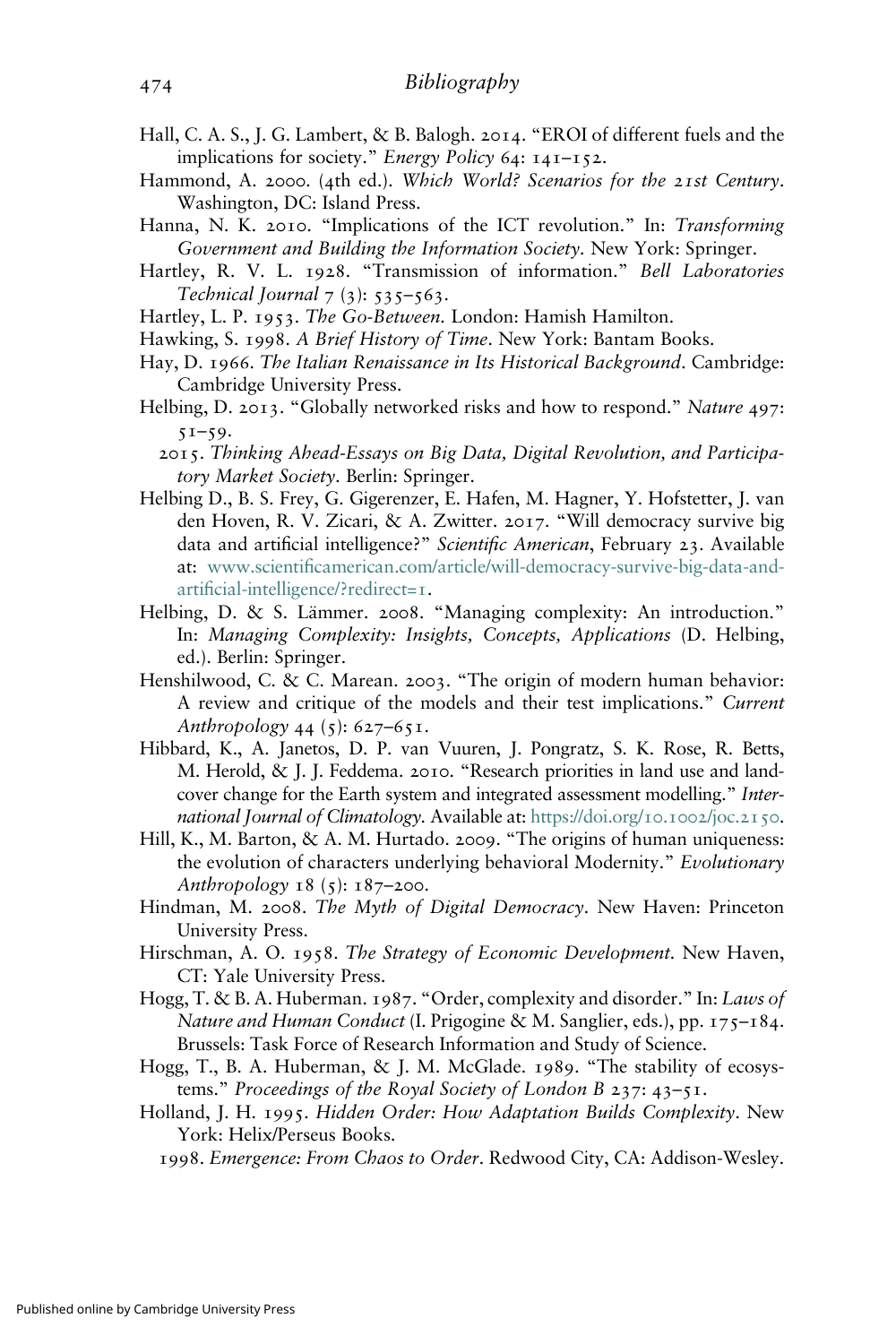- Hall, C. A. S., J. G. Lambert, & B. Balogh. 2014. "EROI of different fuels and the implications for society." Energy Policy 64: 141–152.
- Hammond, A. 2000. (4th ed.). Which World? Scenarios for the 21st Century. Washington, DC: Island Press.
- Hanna, N. K. 2010. "Implications of the ICT revolution." In: Transforming Government and Building the Information Society. New York: Springer.
- Hartley, R. V. L. 1928. "Transmission of information." Bell Laboratories Technical Journal  $7(3)$ : 535–563.
- Hartley, L. P. 1953. The Go-Between. London: Hamish Hamilton.
- Hawking, S. 1998. A Brief History of Time. New York: Bantam Books.
- Hay, D. 1966. The Italian Renaissance in Its Historical Background. Cambridge: Cambridge University Press.
- Helbing, D. 2013. "Globally networked risks and how to respond." Nature 497:  $51-59.$ 
	- 2015. Thinking Ahead-Essays on Big Data, Digital Revolution, and Participatory Market Society. Berlin: Springer.
- Helbing D., B. S. Frey, G. Gigerenzer, E. Hafen, M. Hagner, Y. Hofstetter, J. van den Hoven, R. V. Zicari, & A. Zwitter. 2017. "Will democracy survive big data and artificial intelligence?" Scientific American, February 23. Available at: www.scientifi[camerican.com/article/will-democracy-survive-big-data-and](https://www.scientificamerican.com/article/will-democracy-survive-big-data-and-artificial-intelligence/?redirect=1)artifi[cial-intelligence/?redirect=](https://www.scientificamerican.com/article/will-democracy-survive-big-data-and-artificial-intelligence/?redirect=1)1.
- Helbing, D. & S. Lämmer. 2008. "Managing complexity: An introduction." In: Managing Complexity: Insights, Concepts, Applications (D. Helbing, ed.). Berlin: Springer.
- Henshilwood, C. & C. Marean. 2003. "The origin of modern human behavior: A review and critique of the models and their test implications." Current Anthropology 44 (5): 627–651.
- Hibbard, K., A. Janetos, D. P. van Vuuren, J. Pongratz, S. K. Rose, R. Betts, M. Herold, & J. J. Feddema. 2010. "Research priorities in land use and landcover change for the Earth system and integrated assessment modelling." International Journal of Climatology. Available at: [https://doi.org/](https://doi.org/10.1002/joc.2150)10.1002/joc.2150.
- Hill, K., M. Barton, & A. M. Hurtado. 2009. "The origins of human uniqueness: the evolution of characters underlying behavioral Modernity." Evolutionary Anthropology  $18$  (5):  $187-200$ .
- Hindman, M. 2008. The Myth of Digital Democracy. New Haven: Princeton University Press.
- Hirschman, A. O. 1958. The Strategy of Economic Development. New Haven, CT: Yale University Press.
- Hogg, T. & B. A. Huberman. 1987. "Order, complexity and disorder." In: Laws of Nature and Human Conduct (I. Prigogine & M. Sanglier, eds.), pp. 175-184. Brussels: Task Force of Research Information and Study of Science.
- Hogg, T., B. A. Huberman, & J. M. McGlade. 1989. "The stability of ecosystems." Proceedings of the Royal Society of London B 237: 43–51.
- Holland, J. H. 1995. Hidden Order: How Adaptation Builds Complexity. New York: Helix/Perseus Books.
	- 1998. Emergence: From Chaos to Order. Redwood City, CA: Addison-Wesley.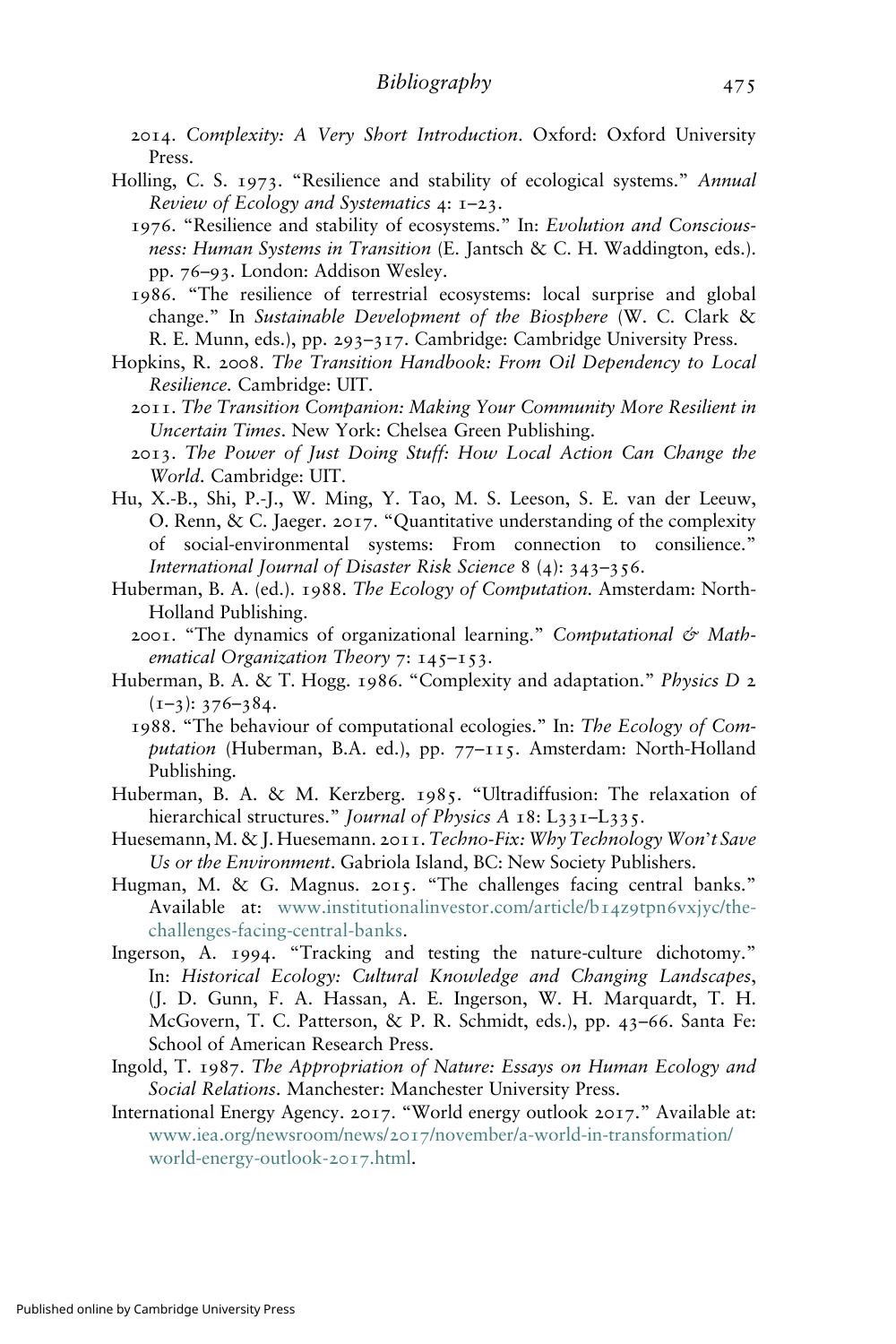- 2014. Complexity: A Very Short Introduction. Oxford: Oxford University Press.
- Holling, C. S. 1973. "Resilience and stability of ecological systems." Annual Review of Ecology and Systematics  $4: I-23$ .
	- 1976. "Resilience and stability of ecosystems." In: Evolution and Consciousness: Human Systems in Transition (E. Jantsch & C. H. Waddington, eds.). pp. 76–93. London: Addison Wesley.
	- 1986. "The resilience of terrestrial ecosystems: local surprise and global change." In Sustainable Development of the Biosphere (W. C. Clark & R. E. Munn, eds.), pp. 293–317. Cambridge: Cambridge University Press.
- Hopkins, R. 2008. The Transition Handbook: From Oil Dependency to Local Resilience. Cambridge: UIT.
	- 2011. The Transition Companion: Making Your Community More Resilient in Uncertain Times. New York: Chelsea Green Publishing.
	- 2013. The Power of Just Doing Stuff: How Local Action Can Change the World. Cambridge: UIT.
- Hu, X.-B., Shi, P.-J., W. Ming, Y. Tao, M. S. Leeson, S. E. van der Leeuw, O. Renn, & C. Jaeger. 2017. "Quantitative understanding of the complexity of social-environmental systems: From connection to consilience." International Journal of Disaster Risk Science 8 (4): 343–356.
- Huberman, B. A. (ed.). 1988. The Ecology of Computation. Amsterdam: North-Holland Publishing.
	- 2001. "The dynamics of organizational learning." Computational & Mathematical Organization Theory 7: 145-153.
- Huberman, B. A. & T. Hogg. 1986. "Complexity and adaptation." Physics D 2  $(I-3): 376-384.$ 
	- 1988. "The behaviour of computational ecologies." In: The Ecology of Computation (Huberman, B.A. ed.), pp. 77-115. Amsterdam: North-Holland Publishing.
- Huberman, B. A. & M. Kerzberg. 1985. "Ultradiffusion: The relaxation of hierarchical structures." Journal of Physics A 18: L331-L335.
- Huesemann, M. & J. Huesemann. 2011. Techno-Fix: Why Technology Won't Save Us or the Environment. Gabriola Island, BC: New Society Publishers.
- Hugman, M. & G. Magnus. 2015. "The challenges facing central banks." Available at: [www.institutionalinvestor.com/article/b](https://www.institutionalinvestor.com/article/b14z9tpn6vxjyc/the-challenges-facing-central-banks)14z9tpn6vxjyc/the[challenges-facing-central-banks](https://www.institutionalinvestor.com/article/b14z9tpn6vxjyc/the-challenges-facing-central-banks).
- Ingerson, A. 1994. "Tracking and testing the nature-culture dichotomy." In: Historical Ecology: Cultural Knowledge and Changing Landscapes, (J. D. Gunn, F. A. Hassan, A. E. Ingerson, W. H. Marquardt, T. H. McGovern, T. C. Patterson, & P. R. Schmidt, eds.), pp. 43–66. Santa Fe: School of American Research Press.
- Ingold, T. 1987. The Appropriation of Nature: Essays on Human Ecology and Social Relations. Manchester: Manchester University Press.
- International Energy Agency. 2017. "World energy outlook 2017." Available at: www.iea.org/newsroom/news/2017[/november/a-world-in-transformation/](https://www.iea.org/newsroom/news/2017/november/a-world-in-transformation/world-energy-outlook-2017.html) [world-energy-outlook-](https://www.iea.org/newsroom/news/2017/november/a-world-in-transformation/world-energy-outlook-2017.html)2017.html.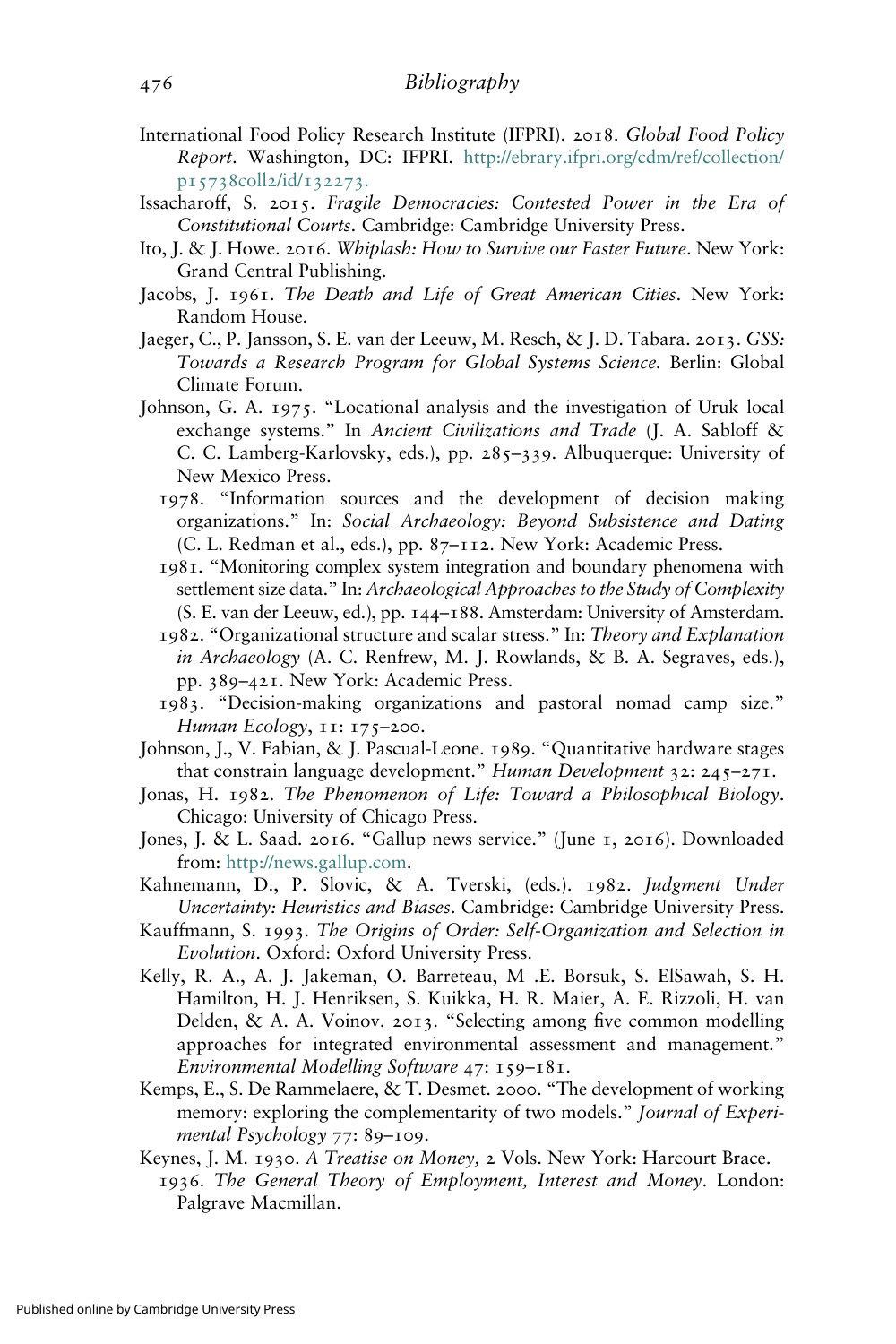- International Food Policy Research Institute (IFPRI). 2018. Global Food Policy Report. Washington, DC: IFPRI. [http://ebrary.ifpri.org/cdm/ref/collection/](http://ebrary.ifpri.org/cdm/ref/collection/p15738coll2/id/132273) p15738coll2/id/[132273](http://ebrary.ifpri.org/cdm/ref/collection/p15738coll2/id/132273).
- Issacharoff, S. 2015. Fragile Democracies: Contested Power in the Era of Constitutional Courts. Cambridge: Cambridge University Press.
- Ito, J. & J. Howe. 2016. Whiplash: How to Survive our Faster Future. New York: Grand Central Publishing.
- Jacobs, J. 1961. The Death and Life of Great American Cities. New York: Random House.
- Jaeger, C., P. Jansson, S. E. van der Leeuw, M. Resch, & J. D. Tabara. 2013. GSS: Towards a Research Program for Global Systems Science. Berlin: Global Climate Forum.
- Johnson, G. A. 1975. "Locational analysis and the investigation of Uruk local exchange systems." In Ancient Civilizations and Trade (J. A. Sabloff & C. C. Lamberg-Karlovsky, eds.), pp. 285–339. Albuquerque: University of New Mexico Press.
	- 1978. "Information sources and the development of decision making organizations." In: Social Archaeology: Beyond Subsistence and Dating (C. L. Redman et al., eds.), pp. 87–112. New York: Academic Press.
	- 1981. "Monitoring complex system integration and boundary phenomena with settlement size data." In: Archaeological Approaches to the Study of Complexity (S. E. van der Leeuw, ed.), pp. 144–188. Amsterdam: University of Amsterdam.
	- 1982. "Organizational structure and scalar stress." In: Theory and Explanation in Archaeology (A. C. Renfrew, M. J. Rowlands, & B. A. Segraves, eds.), pp. 389–421. New York: Academic Press.
	- 1983. "Decision-making organizations and pastoral nomad camp size." Human Ecology, 11: 175–200.
- Johnson, J., V. Fabian, & J. Pascual-Leone. 1989. "Quantitative hardware stages that constrain language development." Human Development 32: 245–271.
- Jonas, H. 1982. The Phenomenon of Life: Toward a Philosophical Biology. Chicago: University of Chicago Press.
- Jones, J. & L. Saad. 2016. "Gallup news service." (June 1, 2016). Downloaded from: <http://news.gallup.com>.
- Kahnemann, D., P. Slovic, & A. Tverski, (eds.). 1982. Judgment Under Uncertainty: Heuristics and Biases. Cambridge: Cambridge University Press.
- Kauffmann, S. 1993. The Origins of Order: Self-Organization and Selection in Evolution. Oxford: Oxford University Press.
- Kelly, R. A., A. J. Jakeman, O. Barreteau, M .E. Borsuk, S. ElSawah, S. H. Hamilton, H. J. Henriksen, S. Kuikka, H. R. Maier, A. E. Rizzoli, H. van Delden, & A. A. Voinov. 2013. "Selecting among five common modelling approaches for integrated environmental assessment and management." Environmental Modelling Software 47: 159–181.
- Kemps, E., S. De Rammelaere, & T. Desmet. 2000. "The development of working memory: exploring the complementarity of two models." Journal of Experimental Psychology 77: 89–109.
- Keynes, J. M. 1930. A Treatise on Money, 2 Vols. New York: Harcourt Brace.
- 1936. The General Theory of Employment, Interest and Money. London: Palgrave Macmillan.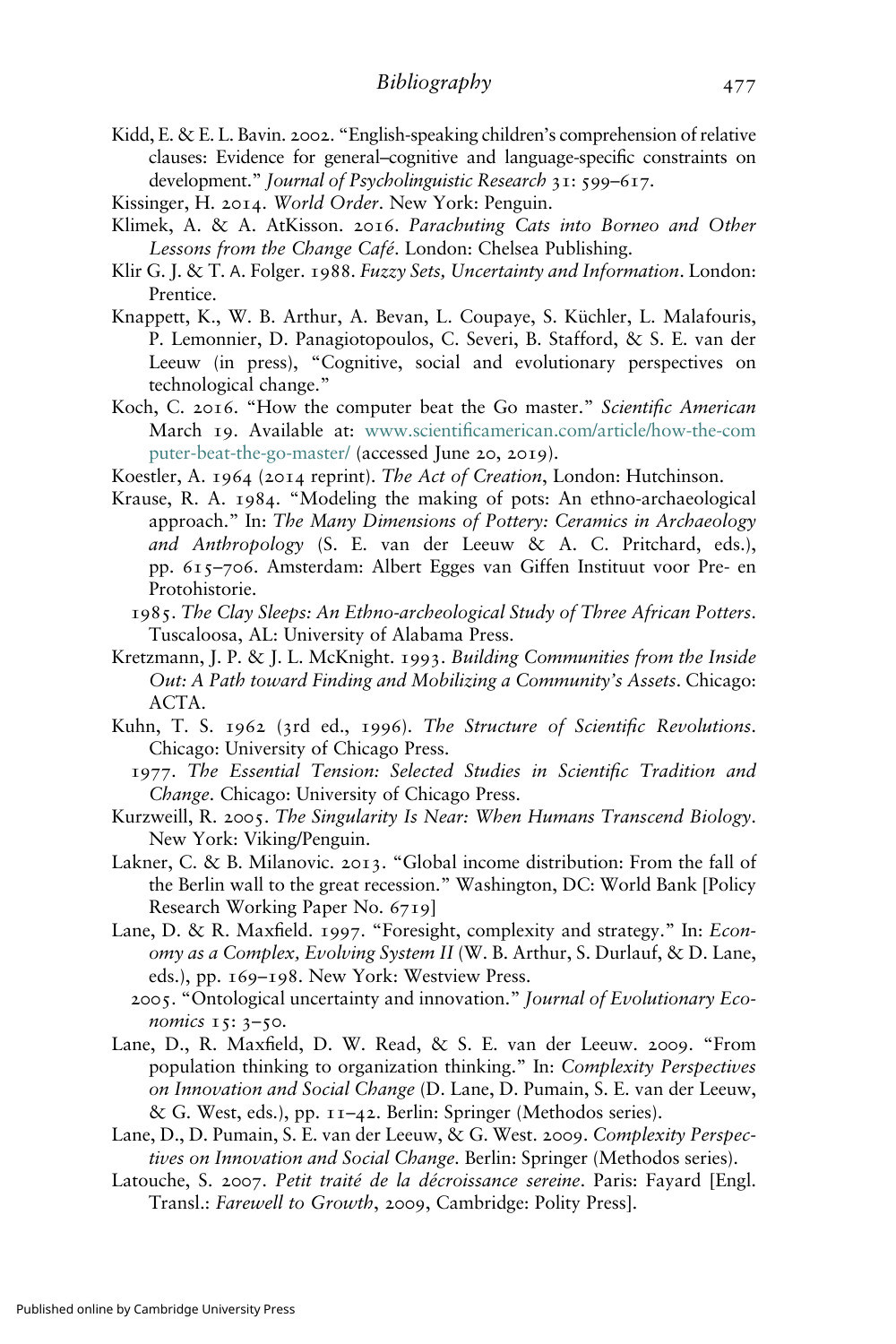- Kidd, E. & E. L. Bavin. 2002. "English-speaking children's comprehension of relative clauses: Evidence for general–cognitive and language-specific constraints on development." Journal of Psycholinguistic Research 31: 599–617.
- Kissinger, H. 2014. World Order. New York: Penguin.
- Klimek, A. & A. AtKisson. 2016. Parachuting Cats into Borneo and Other Lessons from the Change Café. London: Chelsea Publishing.
- Klir G. J. & T. Α. Folger. 1988. Fuzzy Sets, Uncertainty and Information. London: Prentice.
- Knappett, K., W. B. Arthur, A. Bevan, L. Coupaye, S. Küchler, L. Malafouris, P. Lemonnier, D. Panagiotopoulos, C. Severi, B. Stafford, & S. E. van der Leeuw (in press), "Cognitive, social and evolutionary perspectives on technological change."
- Koch, C. 2016. "How the computer beat the Go master." Scientific American March 19. Available at: www.scientifi[camerican.com/article/how-the-com](https://www.scientificamerican.com/article/how-the-computer-beat-the-go-master/) [puter-beat-the-go-master/](https://www.scientificamerican.com/article/how-the-computer-beat-the-go-master/) (accessed June 20, 2019).
- Koestler, A. 1964 (2014 reprint). The Act of Creation, London: Hutchinson.
- Krause, R. A. 1984. "Modeling the making of pots: An ethno-archaeological approach." In: The Many Dimensions of Pottery: Ceramics in Archaeology and Anthropology (S. E. van der Leeuw & A. C. Pritchard, eds.), pp. 615–706. Amsterdam: Albert Egges van Giffen Instituut voor Pre- en Protohistorie.
	- 1985. The Clay Sleeps: An Ethno-archeological Study of Three African Potters. Tuscaloosa, AL: University of Alabama Press.
- Kretzmann, J. P. & J. L. McKnight. 1993. Building Communities from the Inside Out: A Path toward Finding and Mobilizing a Community's Assets. Chicago: ACTA.
- Kuhn, T. S. 1962 (3rd ed., 1996). The Structure of Scientific Revolutions. Chicago: University of Chicago Press.
	- 1977. The Essential Tension: Selected Studies in Scientific Tradition and Change. Chicago: University of Chicago Press.
- Kurzweill, R. 2005. The Singularity Is Near: When Humans Transcend Biology. New York: Viking/Penguin.
- Lakner, C. & B. Milanovic. 2013. "Global income distribution: From the fall of the Berlin wall to the great recession." Washington, DC: World Bank [Policy Research Working Paper No. 6719]
- Lane, D. & R. Maxfield. 1997. "Foresight, complexity and strategy." In: Economy as a Complex, Evolving System II (W. B. Arthur, S. Durlauf, & D. Lane, eds.), pp. 169–198. New York: Westview Press.
	- 2005. "Ontological uncertainty and innovation." Journal of Evolutionary Economics 15: 3–50.
- Lane, D., R. Maxfield, D. W. Read, & S. E. van der Leeuw. 2009. "From population thinking to organization thinking." In: Complexity Perspectives on Innovation and Social Change (D. Lane, D. Pumain, S. E. van der Leeuw, & G. West, eds.), pp. 11–42. Berlin: Springer (Methodos series).
- Lane, D., D. Pumain, S. E. van der Leeuw, & G. West. 2009. Complexity Perspectives on Innovation and Social Change. Berlin: Springer (Methodos series).
- Latouche, S. 2007. Petit traité de la décroissance sereine. Paris: Fayard [Engl. Transl.: Farewell to Growth, 2009, Cambridge: Polity Press].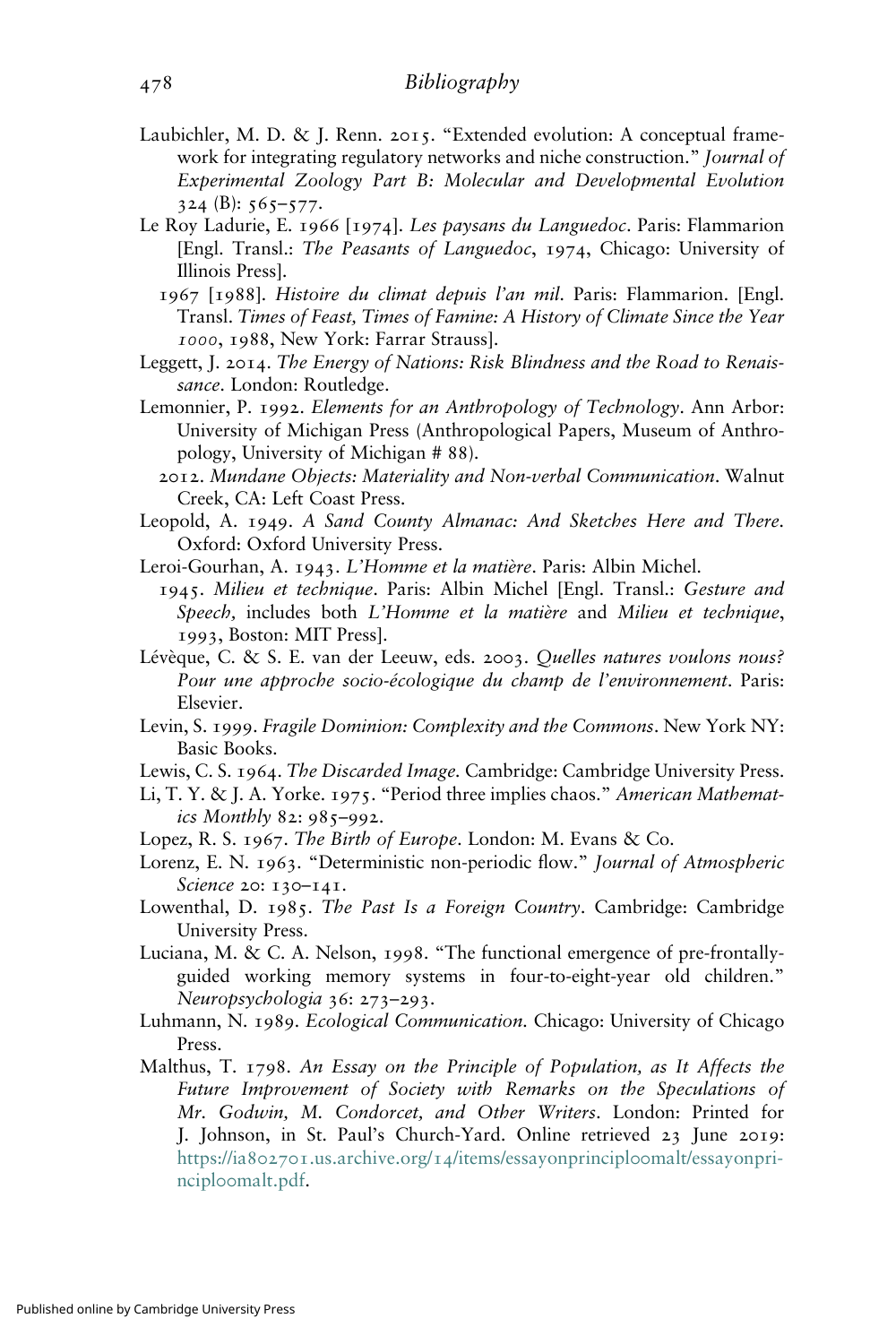- Laubichler, M. D. & J. Renn. 2015. "Extended evolution: A conceptual framework for integrating regulatory networks and niche construction." Journal of Experimental Zoology Part B: Molecular and Developmental Evolution  $324$  (B):  $565 - 577$ .
- Le Roy Ladurie, E. 1966 [1974]. Les paysans du Languedoc. Paris: Flammarion [Engl. Transl.: The Peasants of Languedoc, 1974, Chicago: University of Illinois Press].
	- 1967 [1988]. Histoire du climat depuis l'an mil. Paris: Flammarion. [Engl. Transl. Times of Feast, Times of Famine: A History of Climate Since the Year 1000, 1988, New York: Farrar Strauss].
- Leggett, J. 2014. The Energy of Nations: Risk Blindness and the Road to Renaissance. London: Routledge.
- Lemonnier, P. 1992. Elements for an Anthropology of Technology. Ann Arbor: University of Michigan Press (Anthropological Papers, Museum of Anthropology, University of Michigan # 88).
	- 2012. Mundane Objects: Materiality and Non-verbal Communication. Walnut Creek, CA: Left Coast Press.
- Leopold, A. 1949. A Sand County Almanac: And Sketches Here and There. Oxford: Oxford University Press.
- Leroi-Gourhan, A. 1943. L'Homme et la matière. Paris: Albin Michel.
- 1945. Milieu et technique. Paris: Albin Michel [Engl. Transl.: Gesture and Speech, includes both L'Homme et la matière and Milieu et technique, 1993, Boston: MIT Press].
- Lévèque, C. & S. E. van der Leeuw, eds. 2003. Quelles natures voulons nous? Pour une approche socio-écologique du champ de l'environnement. Paris: Elsevier.
- Levin, S. 1999. Fragile Dominion: Complexity and the Commons. New York NY: Basic Books.
- Lewis, C. S. 1964. The Discarded Image. Cambridge: Cambridge University Press.
- Li, T. Y. & J. A. Yorke. 1975. "Period three implies chaos." American Mathematics Monthly 82: 985–992.
- Lopez, R. S. 1967. The Birth of Europe. London: M. Evans & Co.
- Lorenz, E. N. 1963. "Deterministic non-periodic flow." Journal of Atmospheric Science 20: 130-141.
- Lowenthal, D. 1985. The Past Is a Foreign Country. Cambridge: Cambridge University Press.
- Luciana, M. & C. A. Nelson, 1998. "The functional emergence of pre-frontallyguided working memory systems in four-to-eight-year old children." Neuropsychologia 36: 273–293.
- Luhmann, N. 1989. Ecological Communication. Chicago: University of Chicago Press.
- Malthus, T. 1798. An Essay on the Principle of Population, as It Affects the Future Improvement of Society with Remarks on the Speculations of Mr. Godwin, M. Condorcet, and Other Writers. London: Printed for J. Johnson, in St. Paul's Church-Yard. Online retrieved 23 June 2019: https://ia802701.us.archive.org/14[/items/essayonprincipl](https://ia802701.us.archive.org/14/items/essayonprincipl00malt/essayonprincipl00malt.pdf)oomalt/essayonprinciploo[malt.pdf](https://ia802701.us.archive.org/14/items/essayonprincipl00malt/essayonprincipl00malt.pdf).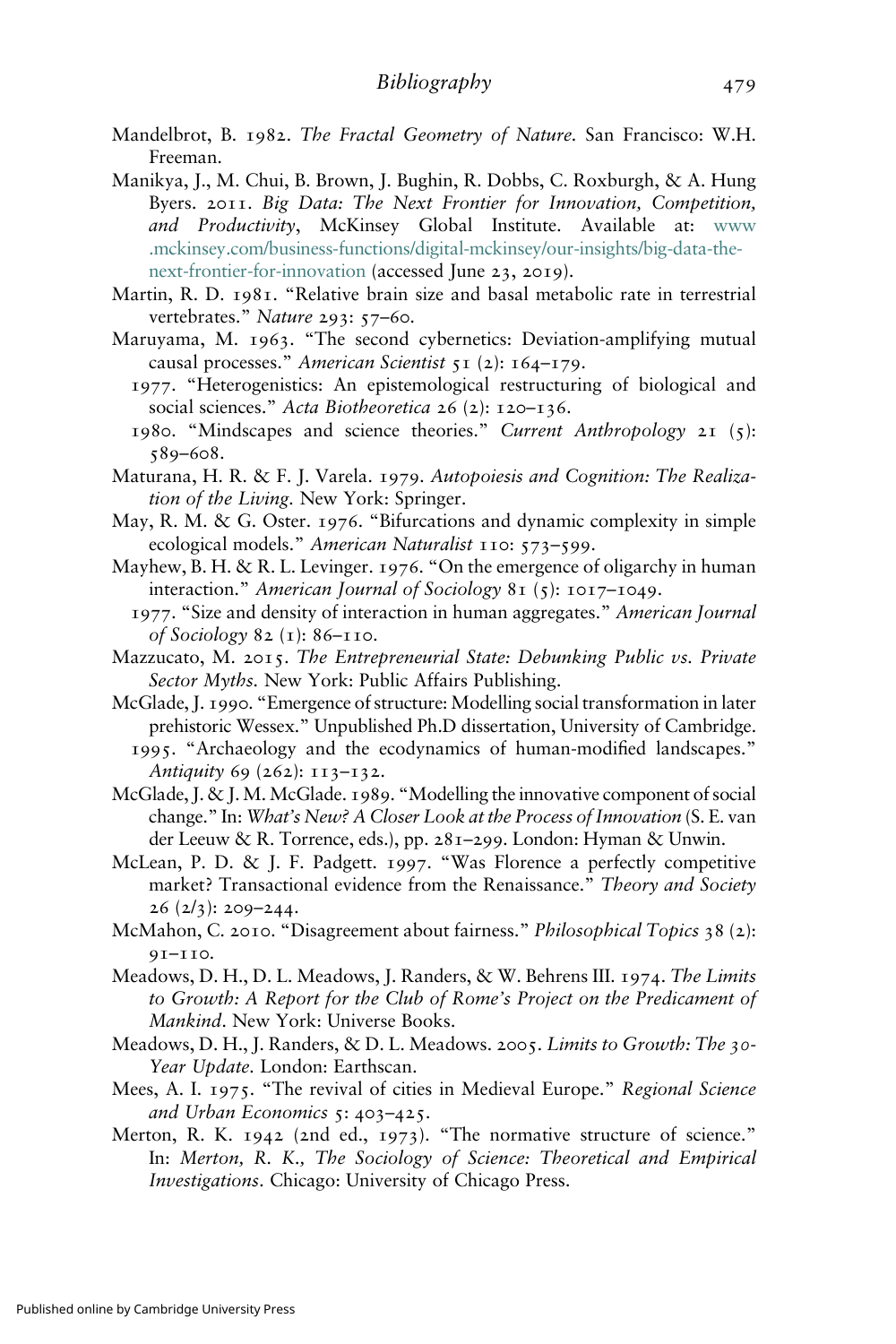- Mandelbrot, B. 1982. The Fractal Geometry of Nature. San Francisco: W.H. Freeman.
- Manikya, J., M. Chui, B. Brown, J. Bughin, R. Dobbs, C. Roxburgh, & A. Hung Byers. 2011. Big Data: The Next Frontier for Innovation, Competition, and Productivity, McKinsey Global Institute. Available at: [www](https://www.mckinsey.com/business-functions/digital-mckinsey/our-insights/big-data-the-next-frontier-for-innovation) [.mckinsey.com/business-functions/digital-mckinsey/our-insights/big-data-the](https://www.mckinsey.com/business-functions/digital-mckinsey/our-insights/big-data-the-next-frontier-for-innovation)[next-frontier-for-innovation](https://www.mckinsey.com/business-functions/digital-mckinsey/our-insights/big-data-the-next-frontier-for-innovation) (accessed June 23, 2019).
- Martin, R. D. 1981. "Relative brain size and basal metabolic rate in terrestrial vertebrates." Nature 293: 57-60.
- Maruyama, M. 1963. "The second cybernetics: Deviation-amplifying mutual causal processes." American Scientist 51 (2): 164–179.
	- 1977. "Heterogenistics: An epistemological restructuring of biological and social sciences." Acta Biotheoretica 26 (2): 120–136.
	- 1980. "Mindscapes and science theories." Current Anthropology 21 (5): 589–608.
- Maturana, H. R. & F. J. Varela. 1979. Autopoiesis and Cognition: The Realization of the Living. New York: Springer.
- May, R. M. & G. Oster. 1976. "Bifurcations and dynamic complexity in simple ecological models." American Naturalist 110: 573-599.
- Mayhew, B. H. & R. L. Levinger. 1976. "On the emergence of oligarchy in human interaction." American Journal of Sociology 81 (5): 1017–1049.
- 1977. "Size and density of interaction in human aggregates." American Journal of Sociology 82 (1): 86–110.
- Mazzucato, M. 2015. The Entrepreneurial State: Debunking Public vs. Private Sector Myths. New York: Public Affairs Publishing.
- McGlade, J. 1990. "Emergence of structure: Modelling social transformation in later prehistoric Wessex." Unpublished Ph.D dissertation, University of Cambridge. 1995. "Archaeology and the ecodynamics of human-modified landscapes."

Antiquity 69 (262): 113-132.

- McGlade, J. & J.M. McGlade. 1989. "Modelling the innovative component of social change." In: What's New? A Closer Look at the Process of Innovation (S. E. van der Leeuw & R. Torrence, eds.), pp. 281–299. London: Hyman & Unwin.
- McLean, P. D. & J. F. Padgett. 1997. "Was Florence a perfectly competitive market? Transactional evidence from the Renaissance." Theory and Society  $26 (2/3)$ : 209–244.
- McMahon, C. 2010. "Disagreement about fairness." Philosophical Topics 38 (2): 91–110.
- Meadows, D. H., D. L. Meadows, J. Randers, & W. Behrens III. 1974. The Limits to Growth: A Report for the Club of Rome's Project on the Predicament of Mankind. New York: Universe Books.
- Meadows, D. H., J. Randers, & D. L. Meadows. 2005. Limits to Growth: The 30-Year Update. London: Earthscan.
- Mees, A. I. 1975. "The revival of cities in Medieval Europe." Regional Science and Urban Economics 5: 403–425.
- Merton, R. K. 1942 (2nd ed., 1973). "The normative structure of science." In: Merton, R. K., The Sociology of Science: Theoretical and Empirical Investigations. Chicago: University of Chicago Press.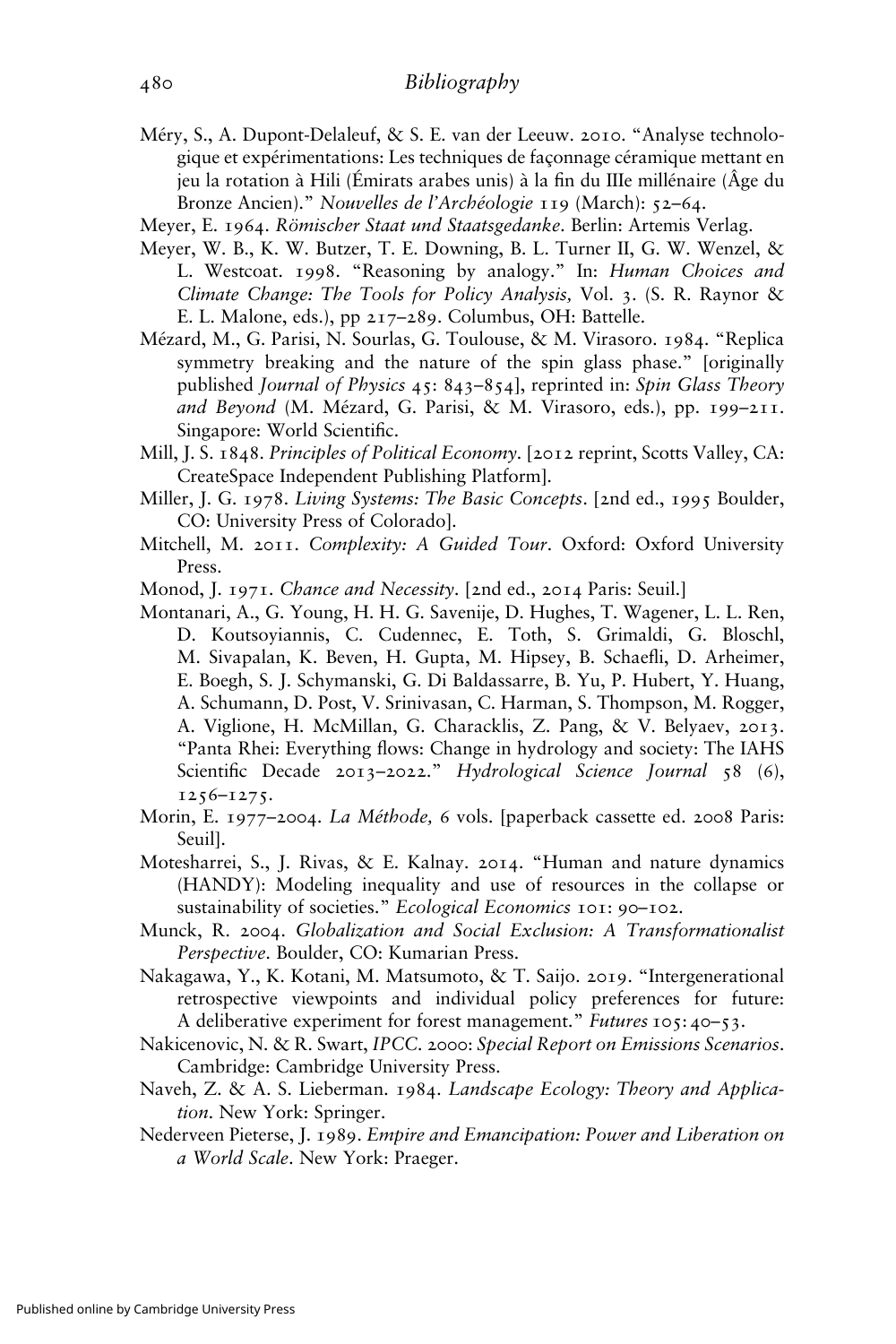- Méry, S., A. Dupont-Delaleuf, & S. E. van der Leeuw. 2010. "Analyse technologique et expérimentations: Les techniques de façonnage céramique mettant en jeu la rotation à Hili (Émirats arabes unis) à la fin du IIIe millénaire (Âge du Bronze Ancien)." Nouvelles de l'Archéologie 119 (March): 52–64.
- Meyer, E. 1964. Römischer Staat und Staatsgedanke. Berlin: Artemis Verlag.
- Meyer, W. B., K. W. Butzer, T. E. Downing, B. L. Turner II, G. W. Wenzel, & L. Westcoat. 1998. "Reasoning by analogy." In: Human Choices and Climate Change: The Tools for Policy Analysis, Vol. 3. (S. R. Raynor & E. L. Malone, eds.), pp 217–289. Columbus, OH: Battelle.
- Mézard, M., G. Parisi, N. Sourlas, G. Toulouse, & M. Virasoro. 1984. "Replica symmetry breaking and the nature of the spin glass phase." [originally published Journal of Physics 45: 843-854], reprinted in: Spin Glass Theory and Beyond (M. Mézard, G. Parisi, & M. Virasoro, eds.), pp. 199–211. Singapore: World Scientific.
- Mill, J. S. 1848. Principles of Political Economy. [2012 reprint, Scotts Valley, CA: CreateSpace Independent Publishing Platform].
- Miller, J. G. 1978. Living Systems: The Basic Concepts. [2nd ed., 1995 Boulder, CO: University Press of Colorado].
- Mitchell, M. 2011. Complexity: A Guided Tour. Oxford: Oxford University Press.
- Monod, J. 1971. Chance and Necessity. [2nd ed., 2014 Paris: Seuil.]
- Montanari, A., G. Young, H. H. G. Savenije, D. Hughes, T. Wagener, L. L. Ren, D. Koutsoyiannis, C. Cudennec, E. Toth, S. Grimaldi, G. Bloschl, M. Sivapalan, K. Beven, H. Gupta, M. Hipsey, B. Schaefli, D. Arheimer, E. Boegh, S. J. Schymanski, G. Di Baldassarre, B. Yu, P. Hubert, Y. Huang, A. Schumann, D. Post, V. Srinivasan, C. Harman, S. Thompson, M. Rogger, A. Viglione, H. McMillan, G. Characklis, Z. Pang, & V. Belyaev, 2013. "Panta Rhei: Everything flows: Change in hydrology and society: The IAHS Scientific Decade 2013-2022." Hydrological Science Journal 58 (6), 1256–1275.
- Morin, E. 1977-2004. La Méthode, 6 vols. [paperback cassette ed. 2008 Paris: Seuil].
- Motesharrei, S., J. Rivas, & E. Kalnay. 2014. "Human and nature dynamics (HANDY): Modeling inequality and use of resources in the collapse or sustainability of societies." Ecological Economics 101: 90-102.
- Munck, R. 2004. Globalization and Social Exclusion: A Transformationalist Perspective. Boulder, CO: Kumarian Press.
- Nakagawa, Y., K. Kotani, M. Matsumoto, & T. Saijo. 2019. "Intergenerational retrospective viewpoints and individual policy preferences for future: A deliberative experiment for forest management." Futures 105: 40–53.
- Nakicenovic, N. & R. Swart, IPCC. 2000: Special Report on Emissions Scenarios. Cambridge: Cambridge University Press.
- Naveh, Z. & A. S. Lieberman. 1984. Landscape Ecology: Theory and Application. New York: Springer.
- Nederveen Pieterse, J. 1989. Empire and Emancipation: Power and Liberation on a World Scale. New York: Praeger.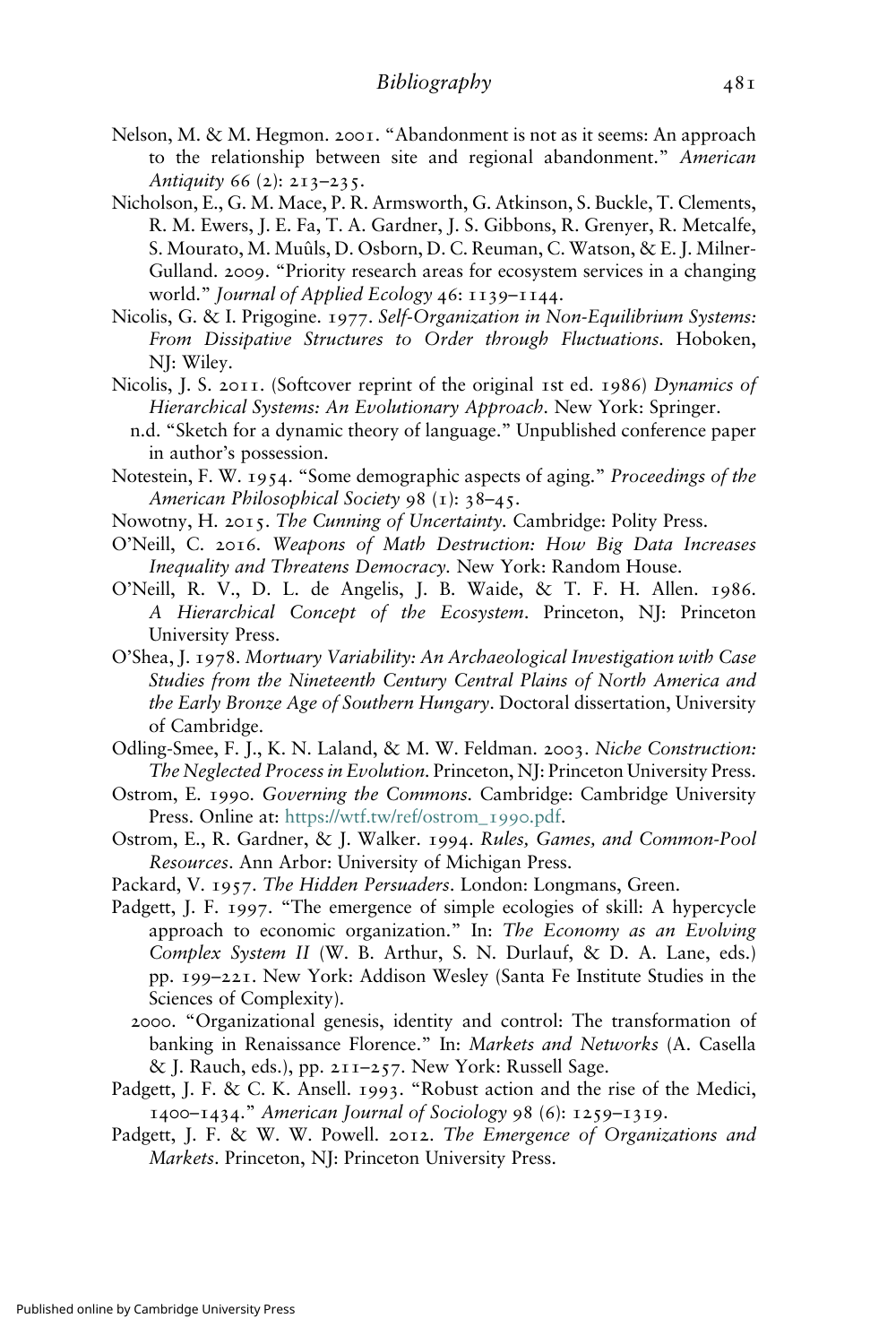- Nelson, M. & M. Hegmon. 2001. "Abandonment is not as it seems: An approach to the relationship between site and regional abandonment." American Antiquity 66 (2):  $2I3-235$ .
- Nicholson, E., G. M. Mace, P. R. Armsworth, G. Atkinson, S. Buckle, T. Clements, R. M. Ewers, J. E. Fa, T. A. Gardner, J. S. Gibbons, R. Grenyer, R. Metcalfe, S. Mourato, M. Muûls, D. Osborn, D. C. Reuman, C. Watson, & E. J. Milner-Gulland. 2009. "Priority research areas for ecosystem services in a changing world." Journal of Applied Ecology 46: 1139–1144.
- Nicolis, G. & I. Prigogine. 1977. Self-Organization in Non-Equilibrium Systems: From Dissipative Structures to Order through Fluctuations. Hoboken, NJ: Wiley.
- Nicolis, J. S. 2011. (Softcover reprint of the original 1st ed. 1986) Dynamics of Hierarchical Systems: An Evolutionary Approach. New York: Springer.
	- n.d. "Sketch for a dynamic theory of language." Unpublished conference paper in author's possession.
- Notestein, F. W. 1954. "Some demographic aspects of aging." Proceedings of the American Philosophical Society 98 (1): 38–45.
- Nowotny, H. 2015. The Cunning of Uncertainty. Cambridge: Polity Press.
- O'Neill, C. 2016. Weapons of Math Destruction: How Big Data Increases Inequality and Threatens Democracy. New York: Random House.
- O'Neill, R. V., D. L. de Angelis, J. B. Waide, & T. F. H. Allen. 1986. A Hierarchical Concept of the Ecosystem. Princeton, NJ: Princeton University Press.
- O'Shea, J. 1978. Mortuary Variability: An Archaeological Investigation with Case Studies from the Nineteenth Century Central Plains of North America and the Early Bronze Age of Southern Hungary. Doctoral dissertation, University of Cambridge.
- Odling-Smee, F. J., K. N. Laland, & M. W. Feldman. 2003. Niche Construction: The Neglected Process in Evolution. Princeton, NJ: Princeton University Press.
- Ostrom, E. 1990. Governing the Commons. Cambridge: Cambridge University Press. Online at: [https://wtf.tw/ref/ostrom\\_](https://wtf.tw/ref/ostrom_1990.pdf)1990.pdf.
- Ostrom, E., R. Gardner, & J. Walker. 1994. Rules, Games, and Common-Pool Resources. Ann Arbor: University of Michigan Press.
- Packard, V. 1957. The Hidden Persuaders. London: Longmans, Green.
- Padgett, J. F. 1997. "The emergence of simple ecologies of skill: A hypercycle approach to economic organization." In: The Economy as an Evolving Complex System II (W. B. Arthur, S. N. Durlauf, & D. A. Lane, eds.) pp. 199–221. New York: Addison Wesley (Santa Fe Institute Studies in the Sciences of Complexity).
	- 2000. "Organizational genesis, identity and control: The transformation of banking in Renaissance Florence." In: Markets and Networks (A. Casella & J. Rauch, eds.), pp. 211–257. New York: Russell Sage.
- Padgett, J. F. & C. K. Ansell. 1993. "Robust action and the rise of the Medici, 1400–1434." American Journal of Sociology 98 (6): 1259–1319.
- Padgett, J. F. & W. W. Powell. 2012. The Emergence of Organizations and Markets. Princeton, NJ: Princeton University Press.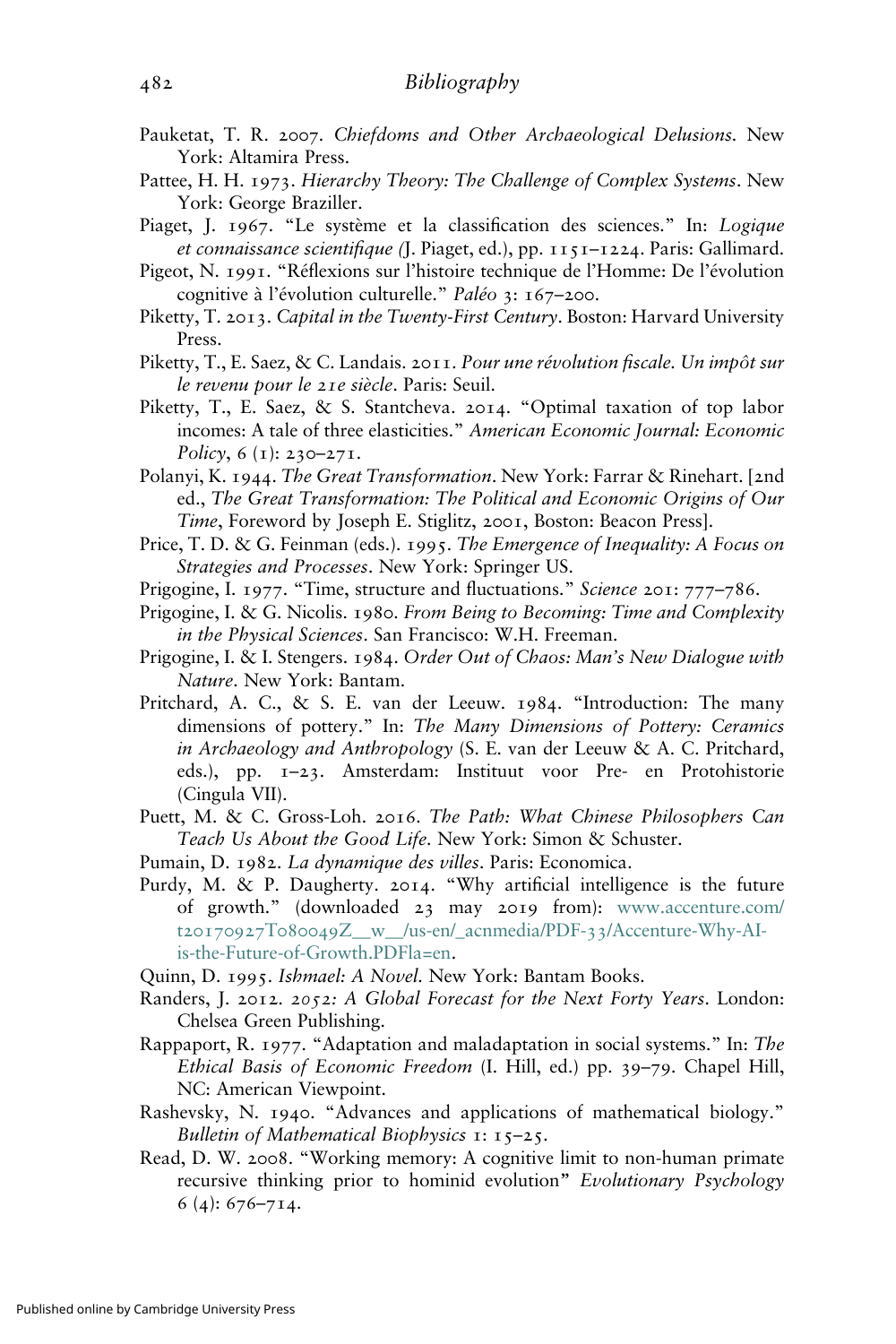- Pauketat, T. R. 2007. Chiefdoms and Other Archaeological Delusions. New York: Altamira Press.
- Pattee, H. H. 1973. Hierarchy Theory: The Challenge of Complex Systems. New York: George Braziller.
- Piaget, J. 1967. "Le système et la classification des sciences." In: Logique et connaissance scientifique (J. Piaget, ed.), pp. 1151–1224. Paris: Gallimard.
- Pigeot, N. 1991. "Réflexions sur l'histoire technique de l'Homme: De l'évolution cognitive à l'évolution culturelle." Paléo 3: 167–200.
- Piketty, T. 2013. Capital in the Twenty-First Century. Boston: Harvard University Press.
- Piketty, T., E. Saez, & C. Landais. 2011. Pour une révolution fiscale. Un impôt sur le revenu pour le 21e siècle. Paris: Seuil.
- Piketty, T., E. Saez, & S. Stantcheva. 2014. "Optimal taxation of top labor incomes: A tale of three elasticities." American Economic Journal: Economic Policy, 6 (1): 230–271.
- Polanyi, K. 1944. The Great Transformation. New York: Farrar & Rinehart. [2nd ed., The Great Transformation: The Political and Economic Origins of Our Time, Foreword by Joseph E. Stiglitz, 2001, Boston: Beacon Press].
- Price, T. D. & G. Feinman (eds.). 1995. The Emergence of Inequality: A Focus on Strategies and Processes. New York: Springer US.
- Prigogine, I. 1977. "Time, structure and fluctuations." Science 201: 777-786.
- Prigogine, I. & G. Nicolis. 1980. From Being to Becoming: Time and Complexity in the Physical Sciences. San Francisco: W.H. Freeman.
- Prigogine, I. & I. Stengers. 1984. Order Out of Chaos: Man's New Dialogue with Nature. New York: Bantam.
- Pritchard, A. C., & S. E. van der Leeuw. 1984. "Introduction: The many dimensions of pottery." In: The Many Dimensions of Pottery: Ceramics in Archaeology and Anthropology (S. E. van der Leeuw & A. C. Pritchard, eds.), pp. 1–23. Amsterdam: Instituut voor Pre- en Protohistorie (Cingula VII).
- Puett, M. & C. Gross-Loh. 2016. The Path: What Chinese Philosophers Can Teach Us About the Good Life. New York: Simon & Schuster.
- Pumain, D. 1982. La dynamique des villes. Paris: Economica.
- Purdy, M. & P. Daugherty. 2014. "Why artificial intelligence is the future of growth." (downloaded 23 may 2019 from): [www.accenture.com/](https://www.accenture.com/t20170927T080049Z__w__/us-en/_acnmedia/PDF-33/Accenture-Why-AI-is-the-Future-of-Growth.PDFla=en) t20170927T080049[Z\\_\\_w\\_\\_/us-en/\\_acnmedia/PDF-](https://www.accenture.com/t20170927T080049Z__w__/us-en/_acnmedia/PDF-33/Accenture-Why-AI-is-the-Future-of-Growth.PDFla=en)33/Accenture-Why-AI[is-the-Future-of-Growth.PDFla=en.](https://www.accenture.com/t20170927T080049Z__w__/us-en/_acnmedia/PDF-33/Accenture-Why-AI-is-the-Future-of-Growth.PDFla=en)
- Quinn, D. 1995. Ishmael: A Novel. New York: Bantam Books.
- Randers, J. 2012. 2052: A Global Forecast for the Next Forty Years. London: Chelsea Green Publishing.
- Rappaport, R. 1977. "Adaptation and maladaptation in social systems." In: The Ethical Basis of Economic Freedom (I. Hill, ed.) pp. 39–79. Chapel Hill, NC: American Viewpoint.
- Rashevsky, N. 1940. "Advances and applications of mathematical biology." Bulletin of Mathematical Biophysics  $1: 15-25$ .
- Read, D. W. 2008. "Working memory: A cognitive limit to non-human primate recursive thinking prior to hominid evolution" Evolutionary Psychology 6 (4): 676–714.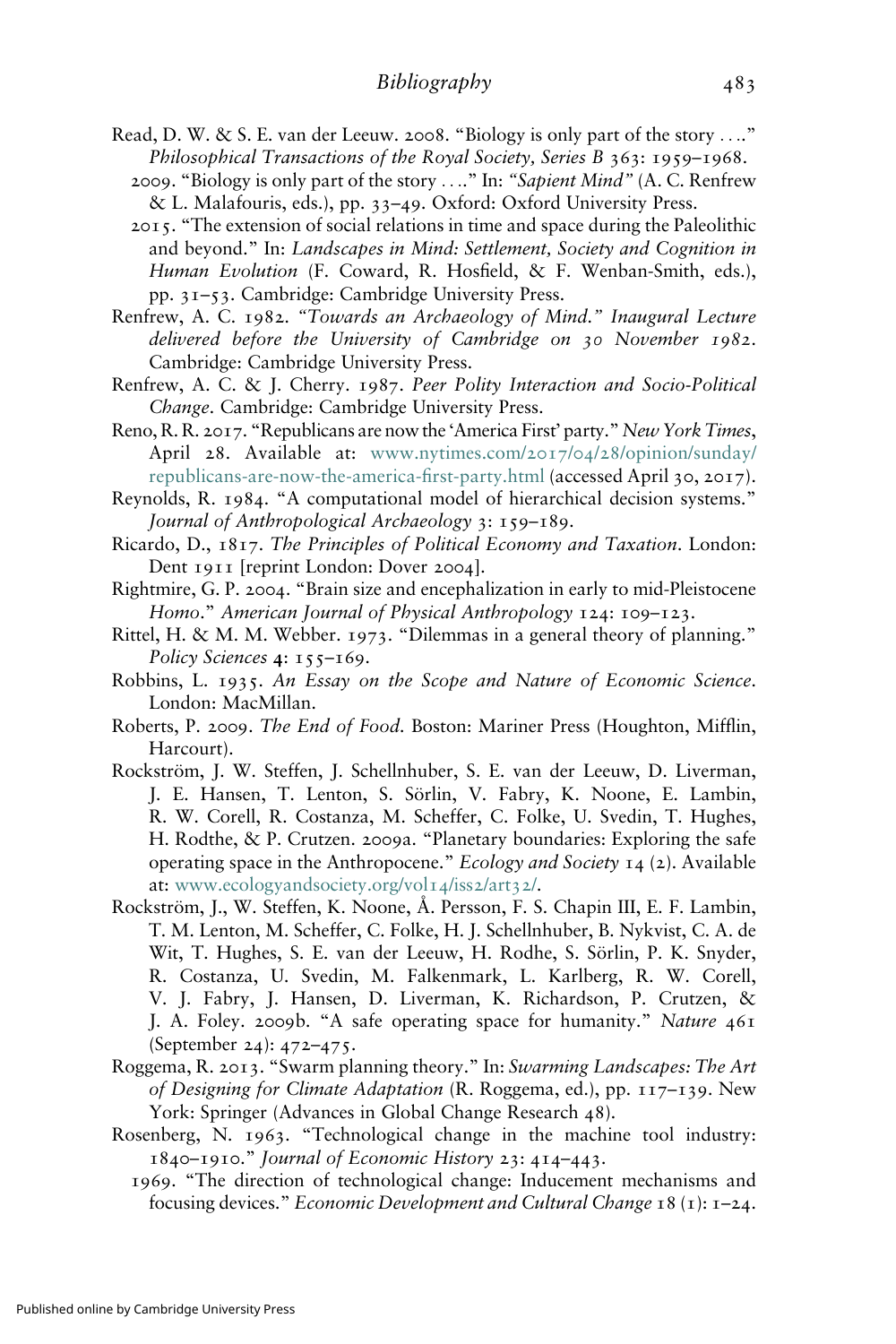- Read, D. W. & S. E. van der Leeuw. 2008. "Biology is only part of the story ...." Philosophical Transactions of the Royal Society, Series B 363: 1959–1968.
	- 2009. "Biology is only part of the story ...." In: "Sapient Mind" (A. C. Renfrew & L. Malafouris, eds.), pp. 33–49. Oxford: Oxford University Press.
	- 2015. "The extension of social relations in time and space during the Paleolithic and beyond." In: Landscapes in Mind: Settlement, Society and Cognition in Human Evolution (F. Coward, R. Hosfield, & F. Wenban-Smith, eds.), pp. 31–53. Cambridge: Cambridge University Press.
- Renfrew, A. C. 1982. "Towards an Archaeology of Mind." Inaugural Lecture delivered before the University of Cambridge on 30 November 1982. Cambridge: Cambridge University Press.
- Renfrew, A. C. & J. Cherry. 1987. Peer Polity Interaction and Socio-Political Change. Cambridge: Cambridge University Press.
- Reno, R. R. 2017. "Republicans are now the 'America First' party." New York Times, April 28. Available at: [www.nytimes.com/](https://www.nytimes.com/2017/04/28/opinion/sunday/republicans-are-now-the-america-first-party.html)2017/04/28/opinion/sunday/ [republicans-are-now-the-america-](https://www.nytimes.com/2017/04/28/opinion/sunday/republicans-are-now-the-america-first-party.html)first-party.html (accessed April 30, 2017).
- Reynolds, R. 1984. "A computational model of hierarchical decision systems." Journal of Anthropological Archaeology 3: 159–189.
- Ricardo, D., 1817. The Principles of Political Economy and Taxation. London: Dent 1911 [reprint London: Dover 2004].
- Rightmire, G. P. 2004. "Brain size and encephalization in early to mid-Pleistocene Homo." American Journal of Physical Anthropology 124: 109–123.
- Rittel, H. & M. M. Webber. 1973. "Dilemmas in a general theory of planning." Policy Sciences 4: 155-169.
- Robbins, L. 1935. An Essay on the Scope and Nature of Economic Science. London: MacMillan.
- Roberts, P. 2009. The End of Food. Boston: Mariner Press (Houghton, Mifflin, Harcourt).
- Rockström, J. W. Steffen, J. Schellnhuber, S. E. van der Leeuw, D. Liverman, J. E. Hansen, T. Lenton, S. Sörlin, V. Fabry, K. Noone, E. Lambin, R. W. Corell, R. Costanza, M. Scheffer, C. Folke, U. Svedin, T. Hughes, H. Rodthe, & P. Crutzen. 2009a. "Planetary boundaries: Exploring the safe operating space in the Anthropocene." Ecology and Society 14 (2). Available at: [www.ecologyandsociety.org/vol](http://www.ecologyandsociety.org/vol14/iss2/art32/)14/iss2/art32/.
- Rockström, J., W. Steffen, K. Noone, Å. Persson, F. S. Chapin III, E. F. Lambin, T. M. Lenton, M. Scheffer, C. Folke, H. J. Schellnhuber, B. Nykvist, C. A. de Wit, T. Hughes, S. E. van der Leeuw, H. Rodhe, S. Sörlin, P. K. Snyder, R. Costanza, U. Svedin, M. Falkenmark, L. Karlberg, R. W. Corell, V. J. Fabry, J. Hansen, D. Liverman, K. Richardson, P. Crutzen, & J. A. Foley. 2009b. "A safe operating space for humanity." Nature 461 (September 24): 472–475.
- Roggema, R. 2013. "Swarm planning theory." In: Swarming Landscapes: The Art of Designing for Climate Adaptation (R. Roggema, ed.), pp. 117–139. New York: Springer (Advances in Global Change Research 48).
- Rosenberg, N. 1963. "Technological change in the machine tool industry: 1840–1910." Journal of Economic History 23: 414–443.
	- 1969. "The direction of technological change: Inducement mechanisms and focusing devices." Economic Development and Cultural Change 18 (1): 1–24.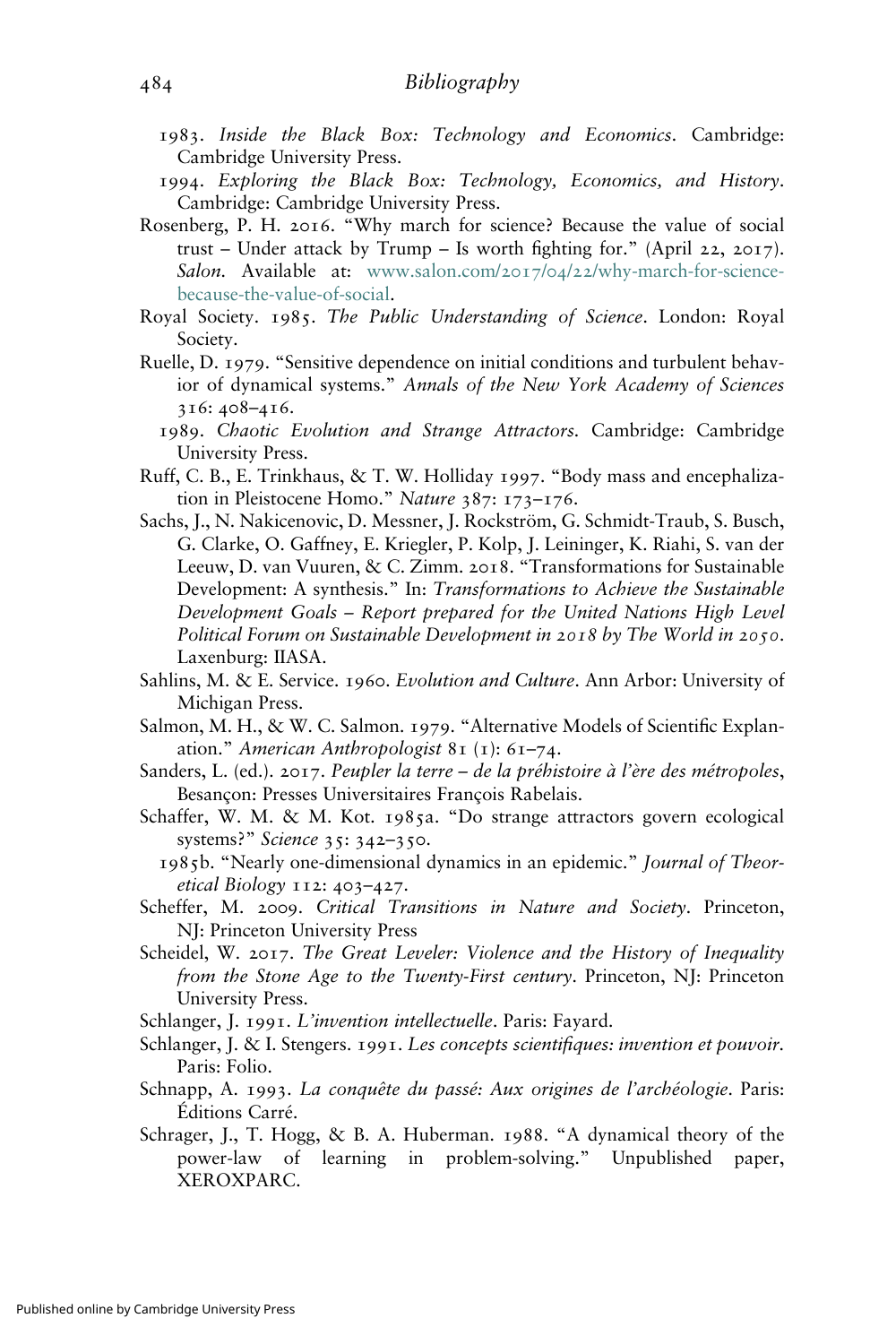- 1983. Inside the Black Box: Technology and Economics. Cambridge: Cambridge University Press.
- 1994. Exploring the Black Box: Technology, Economics, and History. Cambridge: Cambridge University Press.
- Rosenberg, P. H. 2016. "Why march for science? Because the value of social trust – Under attack by Trump – Is worth fighting for." (April 22, 2017). Salon. Available at: www.salon.com/2017/04/22[/why-march-for-science](https://www.salon.com/2017/04/22/why-march-for-science-because-the-value-of-social)[because-the-value-of-social.](https://www.salon.com/2017/04/22/why-march-for-science-because-the-value-of-social)
- Royal Society. 1985. The Public Understanding of Science. London: Royal Society.
- Ruelle, D. 1979. "Sensitive dependence on initial conditions and turbulent behavior of dynamical systems." Annals of the New York Academy of Sciences 316: 408–416.
	- 1989. Chaotic Evolution and Strange Attractors. Cambridge: Cambridge University Press.
- Ruff, C. B., E. Trinkhaus, & T. W. Holliday 1997. "Body mass and encephalization in Pleistocene Homo." Nature 387: 173-176.
- Sachs, J., N. Nakicenovic, D. Messner, J. Rockström, G. Schmidt-Traub, S. Busch, G. Clarke, O. Gaffney, E. Kriegler, P. Kolp, J. Leininger, K. Riahi, S. van der Leeuw, D. van Vuuren, & C. Zimm. 2018. "Transformations for Sustainable Development: A synthesis." In: Transformations to Achieve the Sustainable Development Goals – Report prepared for the United Nations High Level Political Forum on Sustainable Development in 2018 by The World in 2050. Laxenburg: IIASA.
- Sahlins, M. & E. Service. 1960. Evolution and Culture. Ann Arbor: University of Michigan Press.
- Salmon, M. H., & W. C. Salmon. 1979. "Alternative Models of Scientific Explanation." American Anthropologist 81 (1): 61–74.
- Sanders, L. (ed.). 2017. Peupler la terre de la préhistoire à l'ère des métropoles, Besançon: Presses Universitaires François Rabelais.
- Schaffer, W. M. & M. Kot. 1985a. "Do strange attractors govern ecological systems?" Science 35: 342-350.
	- 1985b. "Nearly one-dimensional dynamics in an epidemic." Journal of Theoretical Biology 112: 403–427.
- Scheffer, M. 2009. Critical Transitions in Nature and Society. Princeton, NJ: Princeton University Press
- Scheidel, W. 2017. The Great Leveler: Violence and the History of Inequality from the Stone Age to the Twenty-First century. Princeton, NJ: Princeton University Press.
- Schlanger, J. 1991. L'invention intellectuelle. Paris: Fayard.
- Schlanger, J. & I. Stengers. 1991. Les concepts scientifiques: invention et pouvoir. Paris: Folio.
- Schnapp, A. 1993. La conquête du passé: Aux origines de l'archéologie. Paris: Éditions Carré.
- Schrager, J., T. Hogg, & B. A. Huberman. 1988. "A dynamical theory of the power-law of learning in problem-solving." Unpublished paper, XEROXPARC.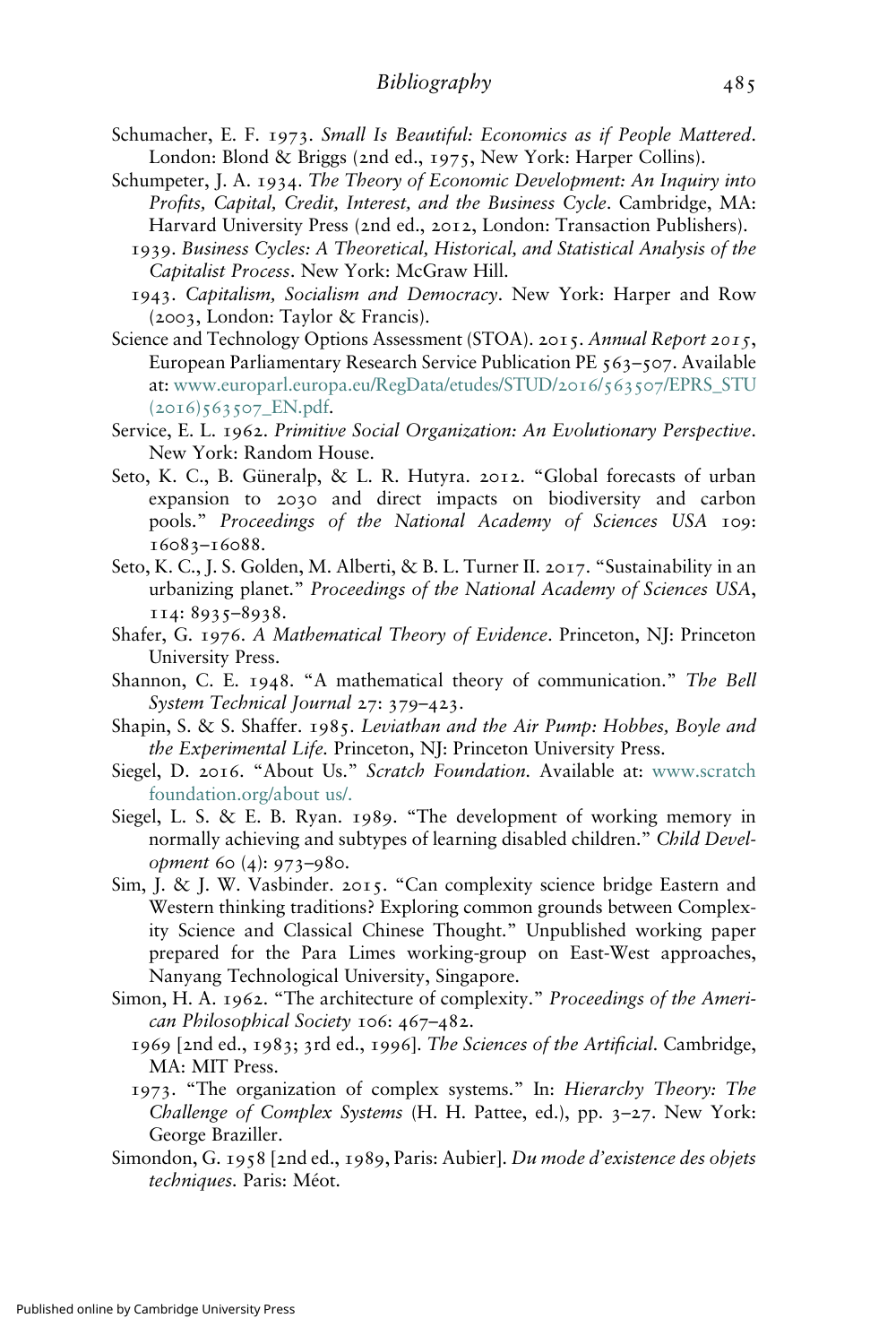- Schumacher, E. F. 1973. Small Is Beautiful: Economics as if People Mattered. London: Blond & Briggs (2nd ed., 1975, New York: Harper Collins).
- Schumpeter, J. A. 1934. The Theory of Economic Development: An Inquiry into Profits, Capital, Credit, Interest, and the Business Cycle. Cambridge, MA: Harvard University Press (2nd ed., 2012, London: Transaction Publishers).
	- 1939. Business Cycles: A Theoretical, Historical, and Statistical Analysis of the Capitalist Process. New York: McGraw Hill.
	- 1943. Capitalism, Socialism and Democracy. New York: Harper and Row (2003, London: Taylor & Francis).
- Science and Technology Options Assessment (STOA). 2015. Annual Report 2015, European Parliamentary Research Service Publication PE 563–507. Available at: [www.europarl.europa.eu/RegData/etudes/STUD/](http://www.europarl.europa.eu/RegData/etudes/STUD/2016/563507/EPRS_STU (2016)563507_EN.pdf)2016/563507/EPRS\_STU (2016)563507[\\_EN.pdf.](http://www.europarl.europa.eu/RegData/etudes/STUD/2016/563507/EPRS_STU (2016)563507_EN.pdf)
- Service, E. L. 1962. Primitive Social Organization: An Evolutionary Perspective. New York: Random House.
- Seto, K. C., B. Güneralp, & L. R. Hutyra. 2012. "Global forecasts of urban expansion to 2030 and direct impacts on biodiversity and carbon pools." Proceedings of the National Academy of Sciences USA 109: 16083–16088.
- Seto, K. C., J. S. Golden, M. Alberti, & B. L. Turner II. 2017. "Sustainability in an urbanizing planet." Proceedings of the National Academy of Sciences USA, 114: 8935–8938.
- Shafer, G. 1976. A Mathematical Theory of Evidence. Princeton, NJ: Princeton University Press.
- Shannon, C. E. 1948. "A mathematical theory of communication." The Bell System Technical Journal 27: 379–423.
- Shapin, S. & S. Shaffer. 1985. Leviathan and the Air Pump: Hobbes, Boyle and the Experimental Life. Princeton, NJ: Princeton University Press.
- Siegel, D. 2016. "About Us." Scratch Foundation. Available at: [www.scratch](http://www.scratchfoundation.org/about us) [foundation.org/about us/.](http://www.scratchfoundation.org/about us)
- Siegel, L. S. & E. B. Ryan. 1989. "The development of working memory in normally achieving and subtypes of learning disabled children." Child Development 60 (4): 973–980.
- Sim, J. & J. W. Vasbinder. 2015. "Can complexity science bridge Eastern and Western thinking traditions? Exploring common grounds between Complexity Science and Classical Chinese Thought." Unpublished working paper prepared for the Para Limes working-group on East-West approaches, Nanyang Technological University, Singapore.
- Simon, H. A. 1962. "The architecture of complexity." Proceedings of the American Philosophical Society 106: 467–482.
	- 1969 [2nd ed., 1983; 3rd ed., 1996]. The Sciences of the Artificial. Cambridge, MA: MIT Press.
	- 1973. "The organization of complex systems." In: Hierarchy Theory: The Challenge of Complex Systems (H. H. Pattee, ed.), pp. 3–27. New York: George Braziller.
- Simondon, G. 1958 [2nd ed., 1989, Paris: Aubier]. Du mode d'existence des objets techniques. Paris: Méot.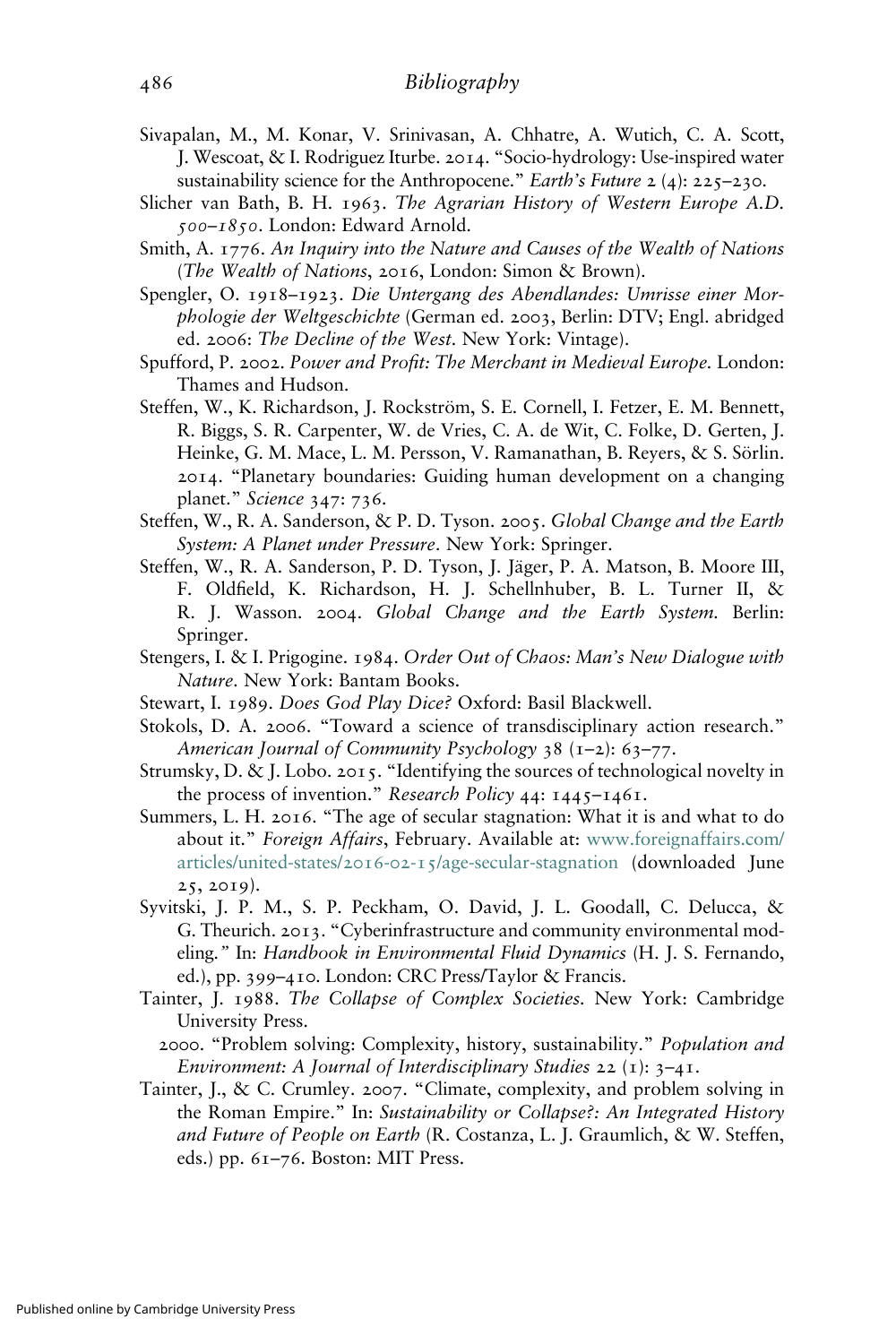- Sivapalan, M., M. Konar, V. Srinivasan, A. Chhatre, A. Wutich, C. A. Scott, J. Wescoat, & I. Rodriguez Iturbe. 2014. "Socio-hydrology: Use-inspired water sustainability science for the Anthropocene." Earth's Future  $2(4)$ :  $225-230$ .
- Slicher van Bath, B. H. 1963. The Agrarian History of Western Europe A.D. 500–1850. London: Edward Arnold.
- Smith, A. 1776. An Inquiry into the Nature and Causes of the Wealth of Nations (The Wealth of Nations, 2016, London: Simon & Brown).
- Spengler, O. 1918–1923. Die Untergang des Abendlandes: Umrisse einer Morphologie der Weltgeschichte (German ed. 2003, Berlin: DTV; Engl. abridged ed. 2006: The Decline of the West. New York: Vintage).
- Spufford, P. 2002. Power and Profit: The Merchant in Medieval Europe. London: Thames and Hudson.
- Steffen, W., K. Richardson, J. Rockström, S. E. Cornell, I. Fetzer, E. M. Bennett, R. Biggs, S. R. Carpenter, W. de Vries, C. A. de Wit, C. Folke, D. Gerten, J. Heinke, G. M. Mace, L. M. Persson, V. Ramanathan, B. Reyers, & S. Sörlin. 2014. "Planetary boundaries: Guiding human development on a changing planet." Science 347: 736.
- Steffen, W., R. A. Sanderson, & P. D. Tyson. 2005. Global Change and the Earth System: A Planet under Pressure. New York: Springer.
- Steffen, W., R. A. Sanderson, P. D. Tyson, J. Jäger, P. A. Matson, B. Moore III, F. Oldfield, K. Richardson, H. J. Schellnhuber, B. L. Turner II, & R. J. Wasson. 2004. Global Change and the Earth System. Berlin: Springer.
- Stengers, I. & I. Prigogine. 1984. Order Out of Chaos: Man's New Dialogue with Nature. New York: Bantam Books.
- Stewart, I. 1989. Does God Play Dice? Oxford: Basil Blackwell.
- Stokols, D. A. 2006. "Toward a science of transdisciplinary action research." American Journal of Community Psychology 38 (1–2): 63–77.
- Strumsky, D. & J. Lobo. 2015. "Identifying the sources of technological novelty in the process of invention." Research Policy 44: 1445–1461.
- Summers, L. H. 2016. "The age of secular stagnation: What it is and what to do about it." Foreign Affairs, February. Available at: [www.foreignaffairs.com/](https://www.foreignaffairs.com/articles/united-states/2016-02-15/age-secular-stagnation) articles/united-states/2016-02-15[/age-secular-stagnation](https://www.foreignaffairs.com/articles/united-states/2016-02-15/age-secular-stagnation) (downloaded June 25, 2019).
- Syvitski, J. P. M., S. P. Peckham, O. David, J. L. Goodall, C. Delucca, & G. Theurich. 2013. "Cyberinfrastructure and community environmental modeling." In: Handbook in Environmental Fluid Dynamics (H. J. S. Fernando, ed.), pp. 399–410. London: CRC Press/Taylor & Francis.
- Tainter, J. 1988. The Collapse of Complex Societies. New York: Cambridge University Press.
	- 2000. "Problem solving: Complexity, history, sustainability." Population and Environment: A Journal of Interdisciplinary Studies 22 (1):  $3-4$ 1.
- Tainter, J., & C. Crumley. 2007. "Climate, complexity, and problem solving in the Roman Empire." In: Sustainability or Collapse?: An Integrated History and Future of People on Earth (R. Costanza, L. J. Graumlich, & W. Steffen, eds.) pp. 61–76. Boston: MIT Press.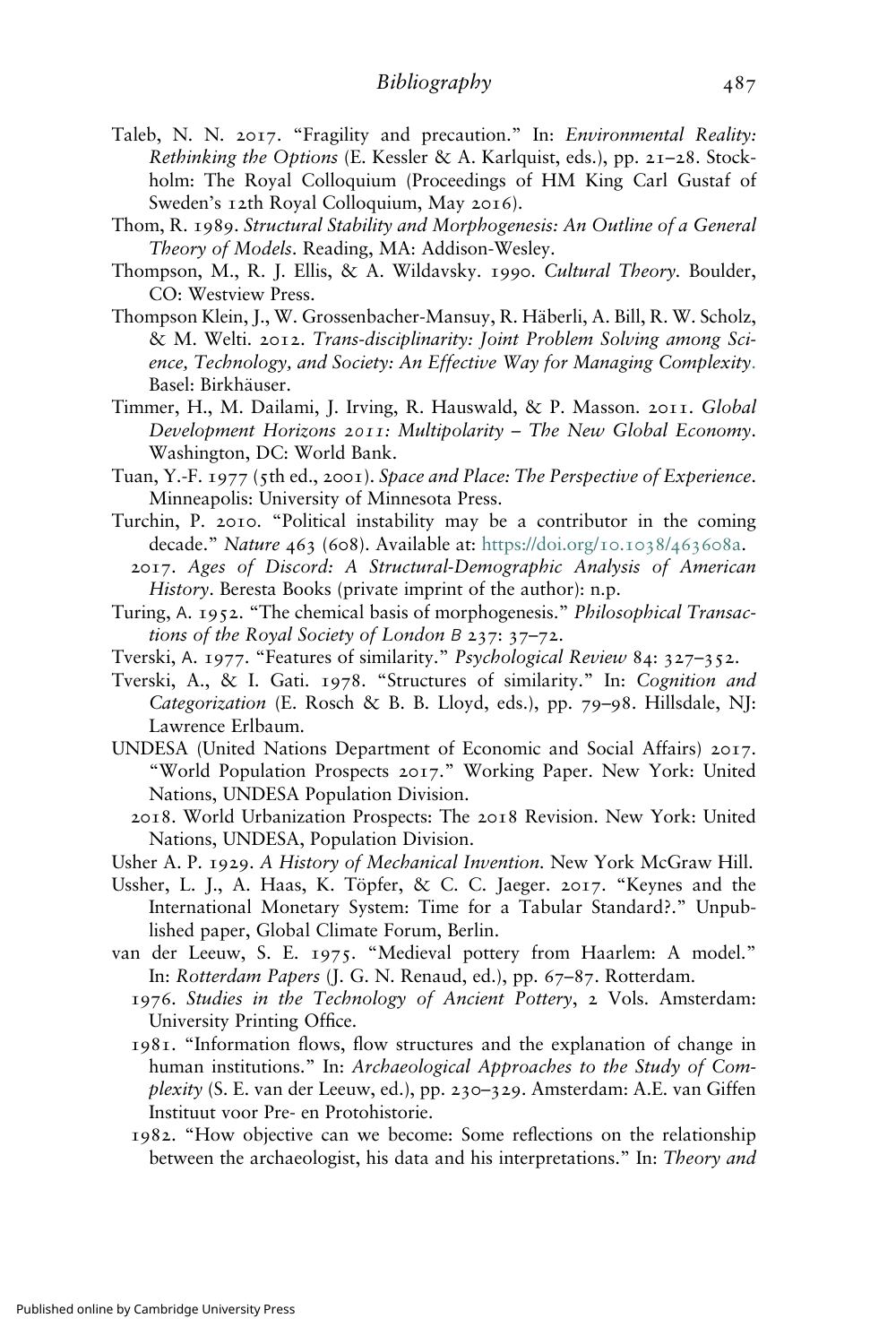- Taleb, N. N. 2017. "Fragility and precaution." In: Environmental Reality: Rethinking the Options (E. Kessler & A. Karlquist, eds.), pp. 21–28. Stockholm: The Royal Colloquium (Proceedings of HM King Carl Gustaf of Sweden's 12th Royal Colloquium, May 2016).
- Thom, R. 1989. Structural Stability and Morphogenesis: An Outline of a General Theory of Models. Reading, MA: Addison-Wesley.
- Thompson, M., R. J. Ellis, & A. Wildavsky. 1990. Cultural Theory. Boulder, CO: Westview Press.
- Thompson Klein, J., W. Grossenbacher-Mansuy, R. Häberli, A. Bill, R. W. Scholz, & M. Welti. 2012. Trans-disciplinarity: Joint Problem Solving among Science, Technology, and Society: An Effective Way for Managing Complexity[.](https://books.google.com/books?id=ZMkGCAAAQBAJ) Basel: Birkhäuser.
- Timmer, H., M. Dailami, J. Irving, R. Hauswald, & P. Masson. 2011. Global Development Horizons 2011: Multipolarity – The New Global Economy. Washington, DC: World Bank.
- Tuan, Y.-F. 1977 (5th ed., 2001). Space and Place: The Perspective of Experience. Minneapolis: University of Minnesota Press.
- Turchin, P. 2010. "Political instability may be a contributor in the coming decade." Nature 463 (608). Available at: [https://doi.org/](https://doi.org/10.1038/463608a)10.1038/463608a.
	- 2017. Ages of Discord: A Structural-Demographic Analysis of American History. Beresta Books (private imprint of the author): n.p.
- Turing, Α. 1952. "The chemical basis of morphogenesis." Philosophical Transactions of the Royal Society of London Β 237: 37–72.
- Tverski, Α. 1977. "Features of similarity." Psychological Review 84: 327–352.
- Tverski, A., & I. Gati. 1978. "Structures of similarity." In: Cognition and Categorization (E. Rosch & B. B. Lloyd, eds.), pp. 79–98. Hillsdale, NJ: Lawrence Erlbaum.
- UNDESA (United Nations Department of Economic and Social Affairs) 2017. "World Population Prospects 2017." Working Paper. New York: United Nations, UNDESA Population Division.
	- 2018. World Urbanization Prospects: The 2018 Revision. New York: United Nations, UNDESA, Population Division.
- Usher A. P. 1929. A History of Mechanical Invention. New York McGraw Hill.
- Ussher, L. J., A. Haas, K. Töpfer, & C. C. Jaeger. 2017. "Keynes and the International Monetary System: Time for a Tabular Standard?." Unpublished paper, Global Climate Forum, Berlin.
- van der Leeuw, S. E. 1975. "Medieval pottery from Haarlem: A model." In: Rotterdam Papers (J. G. N. Renaud, ed.), pp. 67–87. Rotterdam.
	- 1976. Studies in the Technology of Ancient Pottery, 2 Vols. Amsterdam: University Printing Office.
	- 1981. "Information flows, flow structures and the explanation of change in human institutions." In: Archaeological Approaches to the Study of Complexity (S. E. van der Leeuw, ed.), pp. 230–329. Amsterdam: A.E. van Giffen Instituut voor Pre- en Protohistorie.
	- 1982. "How objective can we become: Some reflections on the relationship between the archaeologist, his data and his interpretations." In: Theory and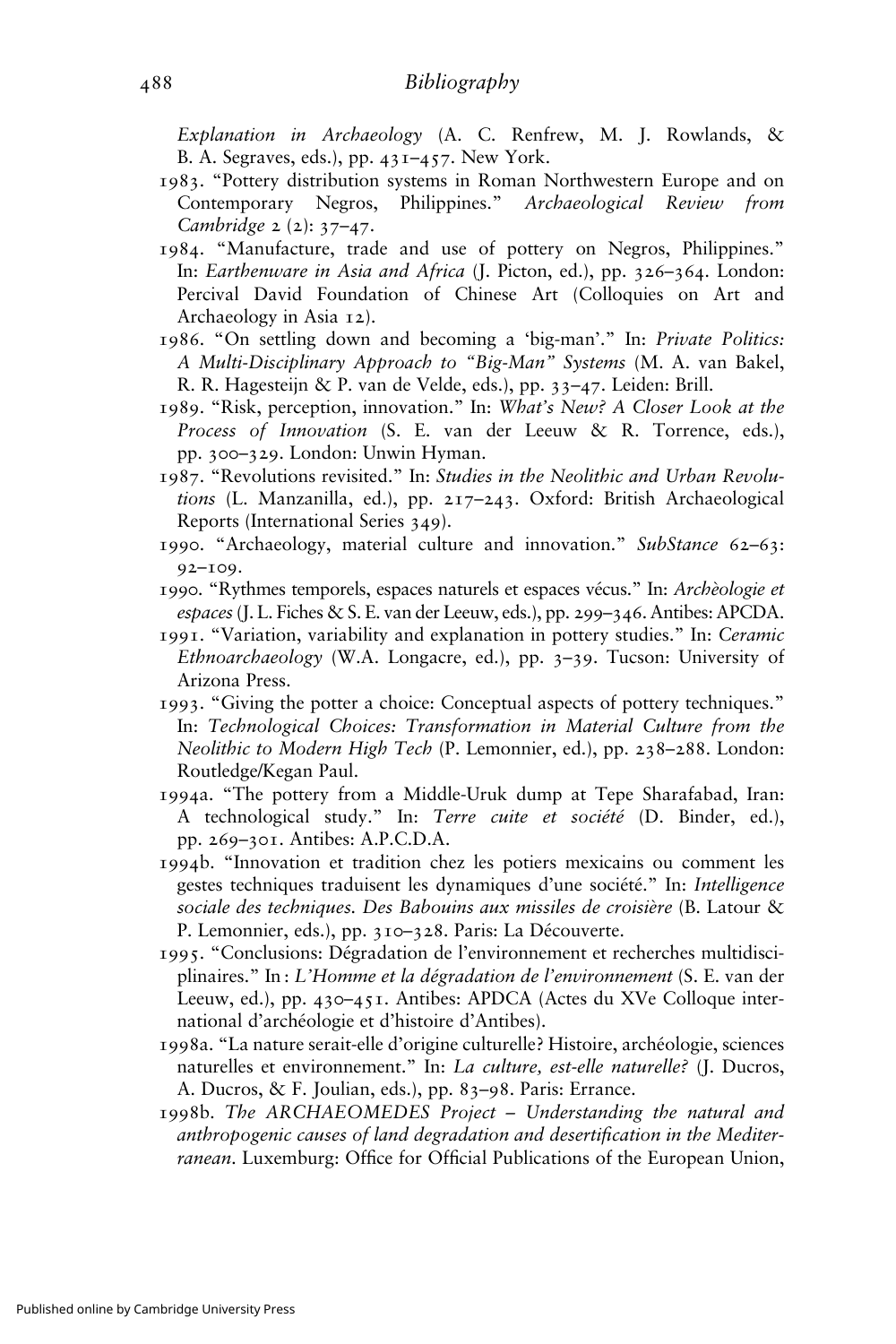Explanation in Archaeology (A. C. Renfrew, M. J. Rowlands, & B. A. Segraves, eds.), pp. 431–457. New York.

- 1983. "Pottery distribution systems in Roman Northwestern Europe and on Contemporary Negros, Philippines." Archaeological Review from Cambridge 2 (2): 37–47.
- 1984. "Manufacture, trade and use of pottery on Negros, Philippines." In: Earthenware in Asia and Africa (J. Picton, ed.), pp. 326–364. London: Percival David Foundation of Chinese Art (Colloquies on Art and Archaeology in Asia 12).
- 1986. "On settling down and becoming a 'big-man'." In: Private Politics: A Multi-Disciplinary Approach to "Big-Man" Systems (M. A. van Bakel, R. R. Hagesteijn & P. van de Velde, eds.), pp. 33–47. Leiden: Brill.
- 1989. "Risk, perception, innovation." In: What's New? A Closer Look at the Process of Innovation (S. E. van der Leeuw & R. Torrence, eds.), pp. 300–329. London: Unwin Hyman.
- 1987. "Revolutions revisited." In: Studies in the Neolithic and Urban Revolutions (L. Manzanilla, ed.), pp. 217–243. Oxford: British Archaeological Reports (International Series 349).
- 1990. "Archaeology, material culture and innovation." SubStance 62–63: 92–109.
- 1990. "Rythmes temporels, espaces naturels et espaces vécus." In: Archèologie et espaces(J. L. Fiches & S. E. van der Leeuw, eds.), pp. 299–346. Antibes: APCDA.
- 1991. "Variation, variability and explanation in pottery studies." In: Ceramic Ethnoarchaeology (W.A. Longacre, ed.), pp. 3–39. Tucson: University of Arizona Press.
- 1993. "Giving the potter a choice: Conceptual aspects of pottery techniques." In: Technological Choices: Transformation in Material Culture from the Neolithic to Modern High Tech (P. Lemonnier, ed.), pp. 238–288. London: Routledge/Kegan Paul.
- 1994a. "The pottery from a Middle-Uruk dump at Tepe Sharafabad, Iran: A technological study." In: Terre cuite et société (D. Binder, ed.), pp. 269–301. Antibes: A.P.C.D.A.
- 1994b. "Innovation et tradition chez les potiers mexicains ou comment les gestes techniques traduisent les dynamiques d'une société." In: Intelligence sociale des techniques. Des Babouins aux missiles de croisière (B. Latour & P. Lemonnier, eds.), pp. 310–328. Paris: La Découverte.
- 1995. "Conclusions: Dégradation de l'environnement et recherches multidisciplinaires." In : L'Homme et la dégradation de l'environnement (S. E. van der Leeuw, ed.), pp. 430–451. Antibes: APDCA (Actes du XVe Colloque international d'archéologie et d'histoire d'Antibes).
- 1998a. "La nature serait-elle d'origine culturelle? Histoire, archéologie, sciences naturelles et environnement." In: La culture, est-elle naturelle? (J. Ducros, A. Ducros, & F. Joulian, eds.), pp. 83–98. Paris: Errance.
- 1998b. The ARCHAEOMEDES Project Understanding the natural and anthropogenic causes of land degradation and desertification in the Mediterranean. Luxemburg: Office for Official Publications of the European Union,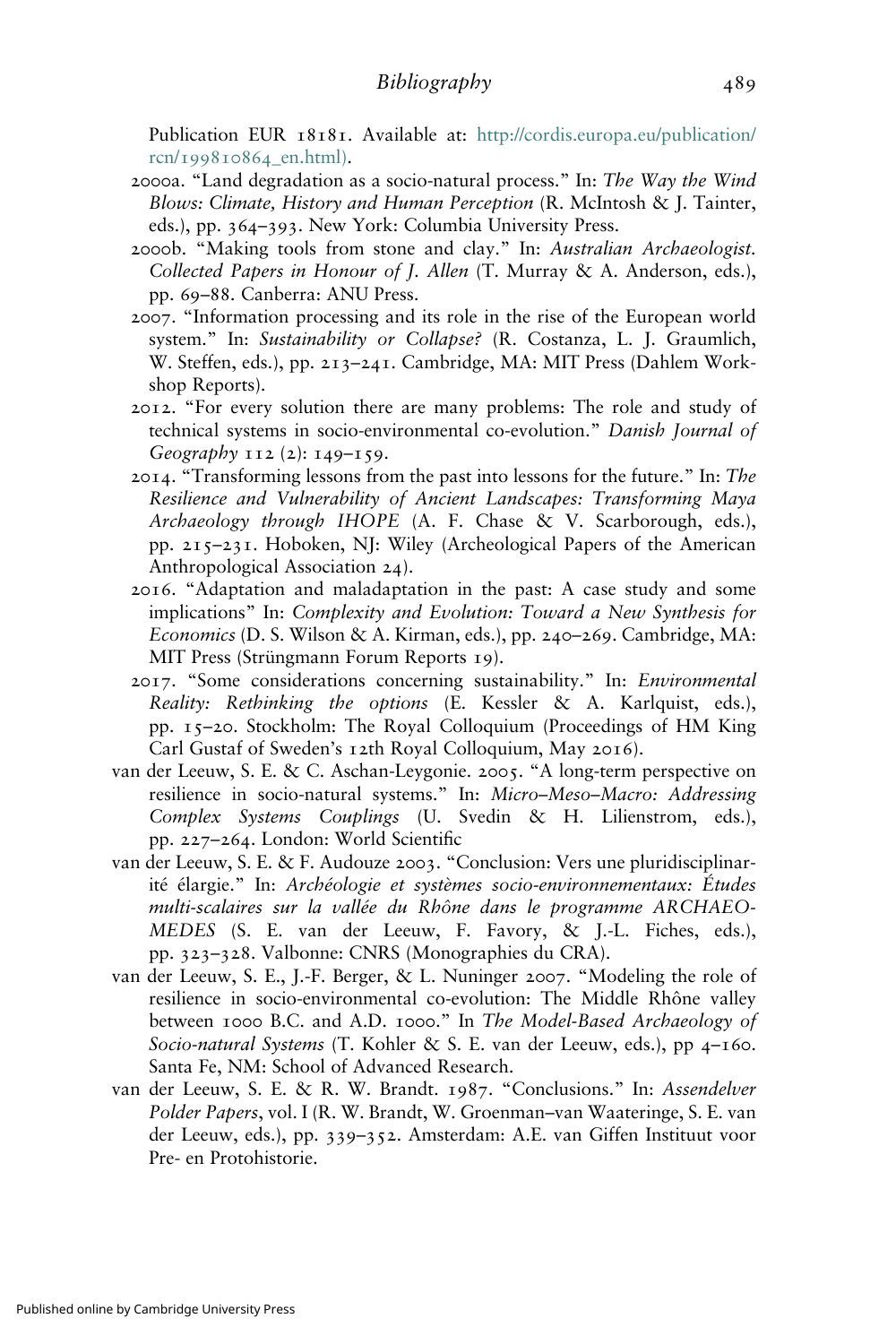Publication EUR 18181. Available at: [http://cordis.europa.eu/publication/](http://cordis.europa.eu/publication/rcn/199810864_en.html)) rcn/[199810864](http://cordis.europa.eu/publication/rcn/199810864_en.html))\_en.html).

- 2000a. "Land degradation as a socio-natural process." In: The Way the Wind Blows: Climate, History and Human Perception (R. McIntosh & J. Tainter, eds.), pp. 364–393. New York: Columbia University Press.
- 2000b. "Making tools from stone and clay." In: Australian Archaeologist. Collected Papers in Honour of J. Allen (T. Murray & A. Anderson, eds.), pp. 69–88. Canberra: ANU Press.
- 2007. "Information processing and its role in the rise of the European world system." In: Sustainability or Collapse? (R. Costanza, L. J. Graumlich, W. Steffen, eds.), pp. 213–241. Cambridge, MA: MIT Press (Dahlem Workshop Reports).
- 2012. "For every solution there are many problems: The role and study of technical systems in socio-environmental co-evolution." Danish Journal of Geography 112 (2): 149–159.
- 2014. "Transforming lessons from the past into lessons for the future." In: The Resilience and Vulnerability of Ancient Landscapes: Transforming Maya Archaeology through IHOPE (A. F. Chase & V. Scarborough, eds.), pp. 215–231. Hoboken, NJ: Wiley (Archeological Papers of the American Anthropological Association 24).
- 2016. "Adaptation and maladaptation in the past: A case study and some implications" In: Complexity and Evolution: Toward a New Synthesis for Economics (D. S. Wilson & A. Kirman, eds.), pp. 240–269. Cambridge, MA: MIT Press (Strüngmann Forum Reports 19).
- 2017. "Some considerations concerning sustainability." In: Environmental Reality: Rethinking the options (E. Kessler & A. Karlquist, eds.), pp. 15–20. Stockholm: The Royal Colloquium (Proceedings of HM King Carl Gustaf of Sweden's 12th Royal Colloquium, May 2016).
- van der Leeuw, S. E. & C. Aschan-Leygonie. 2005. "A long-term perspective on resilience in socio-natural systems." In: Micro–Meso–Macro: Addressing Complex Systems Couplings (U. Svedin & H. Lilienstrom, eds.), pp. 227–264. London: World Scientific
- van der Leeuw, S. E. & F. Audouze 2003. "Conclusion: Vers une pluridisciplinarité élargie." In: Archéologie et systèmes socio-environnementaux: Études multi-scalaires sur la vallée du Rhône dans le programme ARCHAEO-MEDES (S. E. van der Leeuw, F. Favory, & J.-L. Fiches, eds.), pp. 323–328. Valbonne: CNRS (Monographies du CRA).
- van der Leeuw, S. E., J.-F. Berger, & L. Nuninger 2007. "Modeling the role of resilience in socio-environmental co-evolution: The Middle Rhône valley between 1000 B.C. and A.D. 1000." In The Model-Based Archaeology of Socio-natural Systems (T. Kohler & S. E. van der Leeuw, eds.), pp 4–160. Santa Fe, NM: School of Advanced Research.
- van der Leeuw, S. E. & R. W. Brandt. 1987. "Conclusions." In: Assendelver Polder Papers, vol. I (R. W. Brandt, W. Groenman-van Waateringe, S. E. van der Leeuw, eds.), pp. 339–352. Amsterdam: A.E. van Giffen Instituut voor Pre- en Protohistorie.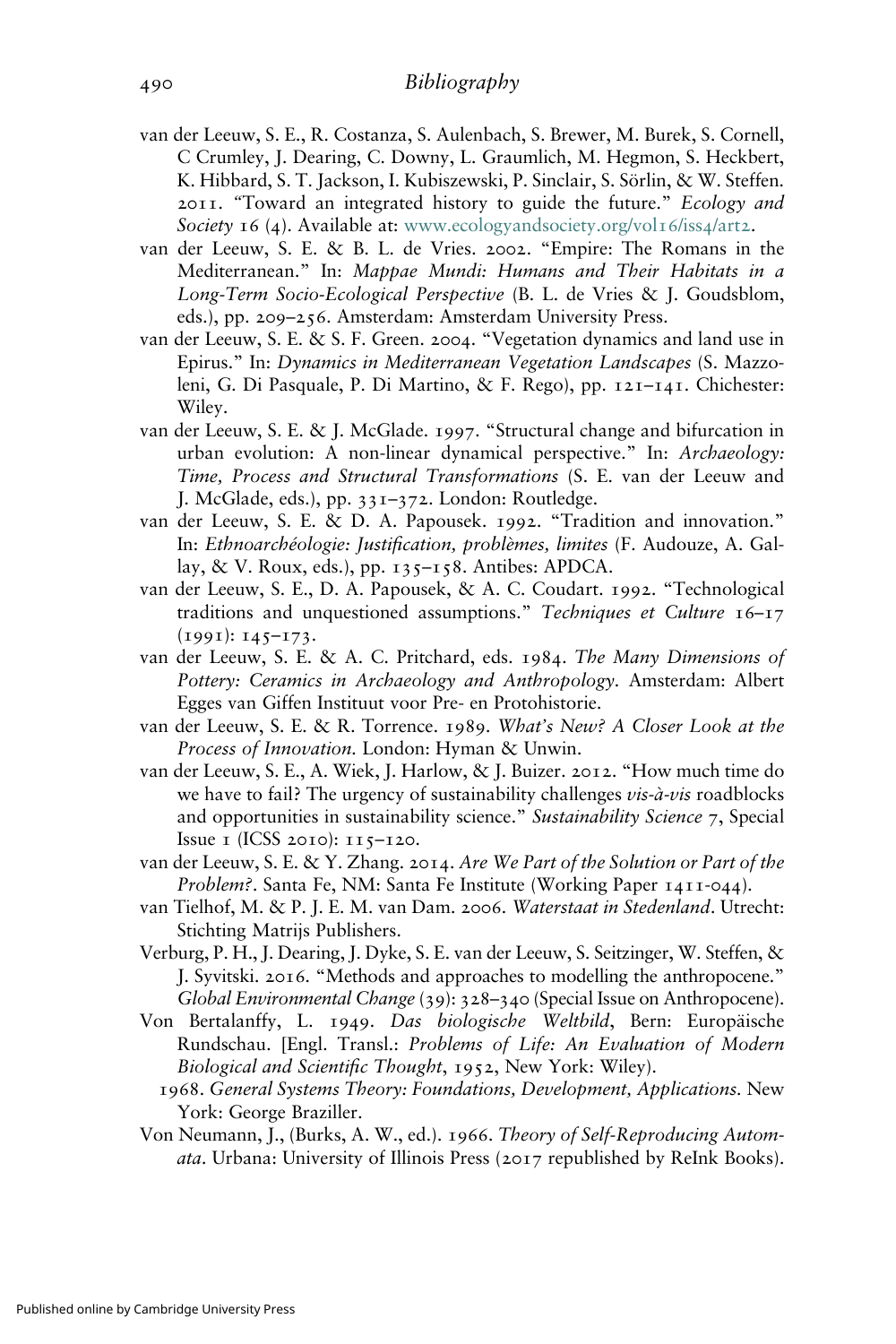- van der Leeuw, S. E., R. Costanza, S. Aulenbach, S. Brewer, M. Burek, S. Cornell, C Crumley, J. Dearing, C. Downy, L. Graumlich, M. Hegmon, S. Heckbert, K. Hibbard, S. T. Jackson, I. Kubiszewski, P. Sinclair, S. Sörlin, & W. Steffen. 2011. "Toward an integrated history to guide the future." Ecology and Society 16 (4). Available at: [www.ecologyandsociety.org/vol](http://www.ecologyandsociety.org/vol16/iss4/art2)16/iss4/art2.
- van der Leeuw, S. E. & B. L. de Vries. 2002. "Empire: The Romans in the Mediterranean." In: Mappae Mundi: Humans and Their Habitats in a Long-Term Socio-Ecological Perspective (B. L. de Vries & J. Goudsblom, eds.), pp. 209–256. Amsterdam: Amsterdam University Press.
- van der Leeuw, S. E. & S. F. Green. 2004. "Vegetation dynamics and land use in Epirus." In: Dynamics in Mediterranean Vegetation Landscapes (S. Mazzoleni, G. Di Pasquale, P. Di Martino, & F. Rego), pp. 121–141. Chichester: Wiley.
- van der Leeuw, S. E. & J. McGlade. 1997. "Structural change and bifurcation in urban evolution: A non-linear dynamical perspective." In: Archaeology: Time, Process and Structural Transformations (S. E. van der Leeuw and J. McGlade, eds.), pp. 331–372. London: Routledge.
- van der Leeuw, S. E. & D. A. Papousek. 1992. "Tradition and innovation." In: Ethnoarchéologie: Justification, problèmes, limites (F. Audouze, A. Gallay, & V. Roux, eds.), pp. 135–158. Antibes: APDCA.
- van der Leeuw, S. E., D. A. Papousek, & A. C. Coudart. 1992. "Technological traditions and unquestioned assumptions." Techniques et Culture 16-17 (1991): 145–173.
- van der Leeuw, S. E. & A. C. Pritchard, eds. 1984. The Many Dimensions of Pottery: Ceramics in Archaeology and Anthropology. Amsterdam: Albert Egges van Giffen Instituut voor Pre- en Protohistorie.
- van der Leeuw, S. E. & R. Torrence. 1989. What's New? A Closer Look at the Process of Innovation. London: Hyman & Unwin.
- van der Leeuw, S. E., A. Wiek, J. Harlow, & J. Buizer. 2012. "How much time do we have to fail? The urgency of sustainability challenges *vis-à-vis* roadblocks and opportunities in sustainability science." Sustainability Science 7, Special Issue 1 (ICSS 2010): 115–120.
- van der Leeuw, S. E. & Y. Zhang. 2014. Are We Part of the Solution or Part of the Problem?. Santa Fe, NM: Santa Fe Institute (Working Paper 1411-044).
- van Tielhof, M. & P. J. E. M. van Dam. 2006. Waterstaat in Stedenland. Utrecht: Stichting Matrijs Publishers.
- Verburg, P. H., J. Dearing, J. Dyke, S. E. van der Leeuw, S. Seitzinger, W. Steffen, & J. Syvitski. 2016. "Methods and approaches to modelling the anthropocene." Global Environmental Change (39): 328–340 (Special Issue on Anthropocene).
- Von Bertalanffy, L. 1949. Das biologische Weltbild, Bern: Europäische Rundschau. [Engl. Transl.: Problems of Life: An Evaluation of Modern Biological and Scientific Thought, 1952, New York: Wiley).
	- 1968. General Systems Theory: Foundations, Development, Applications. New York: George Braziller.
- Von Neumann, J., (Burks, A. W., ed.). 1966. Theory of Self-Reproducing Automata. Urbana: University of Illinois Press (2017 republished by ReInk Books).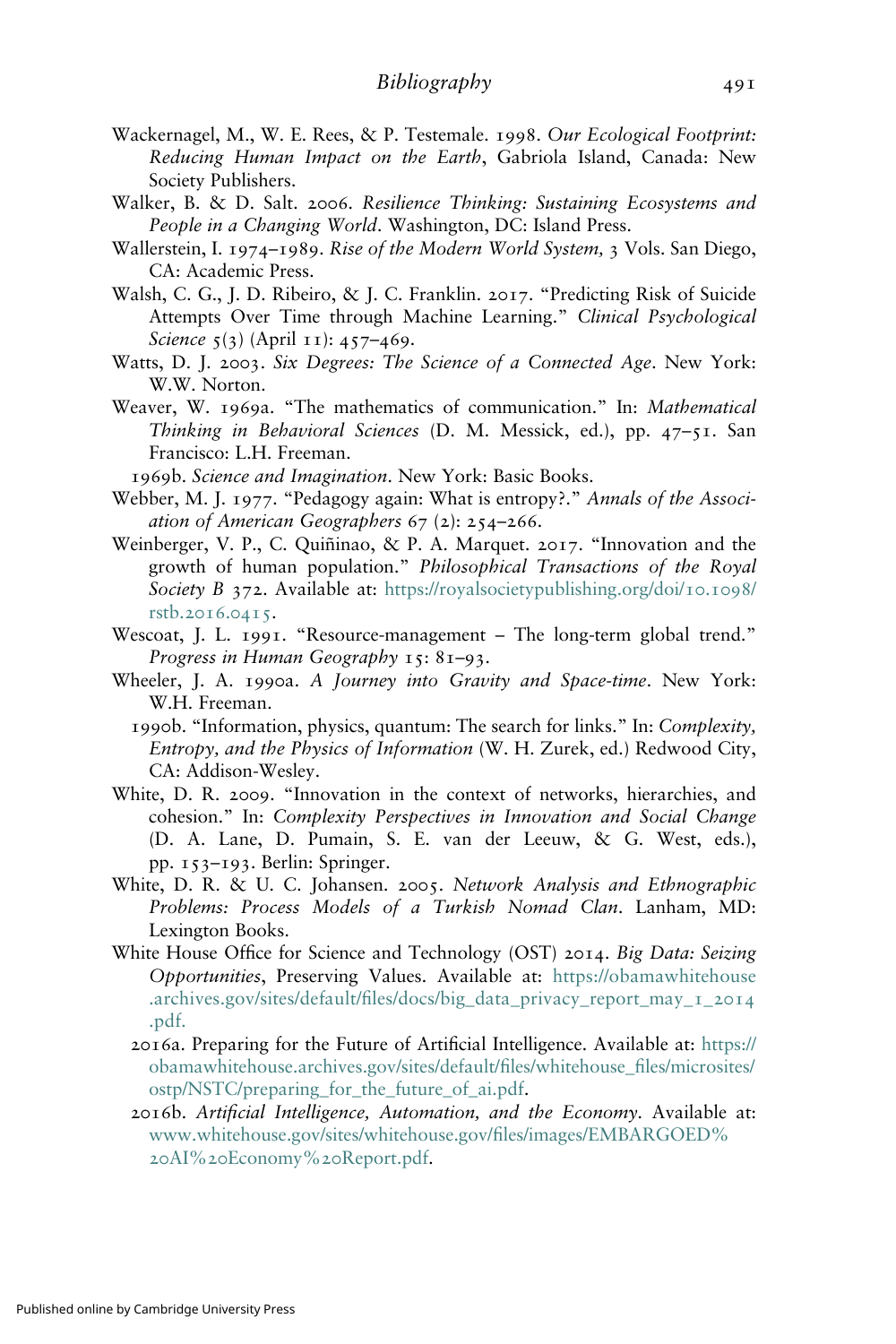- Wackernagel, M., W. E. Rees, & P. Testemale. 1998. Our Ecological Footprint: Reducing Human Impact on the Earth, Gabriola Island, Canada: New Society Publishers.
- Walker, B. & D. Salt. 2006. Resilience Thinking: Sustaining Ecosystems and People in a Changing World. Washington, DC: Island Press.
- Wallerstein, I. 1974–1989. Rise of the Modern World System, 3 Vols. San Diego, CA: Academic Press.
- Walsh, C. G., J. D. Ribeiro, & J. C. Franklin. 2017. "Predicting Risk of Suicide Attempts Over Time through Machine Learning." Clinical Psychological Science 5(3) (April 11): 457-469.
- Watts, D. J. 2003. Six Degrees: The Science of a Connected Age. New York: W.W. Norton.
- Weaver, W. 1969a. "The mathematics of communication." In: Mathematical Thinking in Behavioral Sciences (D. M. Messick, ed.), pp. 47–51. San Francisco: L.H. Freeman.
- 1969b. Science and Imagination. New York: Basic Books.
- Webber, M. J. 1977. "Pedagogy again: What is entropy?." Annals of the Association of American Geographers 67 (2): 254–266.
- Weinberger, V. P., C. Quiñinao, & P. A. Marquet. 2017. "Innovation and the growth of human population." Philosophical Transactions of the Royal Society B 372. Available at: [https://royalsocietypublishing.org/doi/](https://royalsocietypublishing.org/doi/10.1098/rstb.2016.0415)10.1098/ rstb.[2016](https://royalsocietypublishing.org/doi/10.1098/rstb.2016.0415).0415.
- Wescoat, J. L. 1991. "Resource-management The long-term global trend." Progress in Human Geography 15: 81–93.
- Wheeler, J. A. 1990a. A Journey into Gravity and Space-time. New York: W.H. Freeman.
	- 1990b. "Information, physics, quantum: The search for links." In: Complexity, Entropy, and the Physics of Information (W. H. Zurek, ed.) Redwood City, CA: Addison-Wesley.
- White, D. R. 2009. "Innovation in the context of networks, hierarchies, and cohesion." In: Complexity Perspectives in Innovation and Social Change (D. A. Lane, D. Pumain, S. E. van der Leeuw, & G. West, eds.), pp. 153–193. Berlin: Springer.
- White, D. R. & U. C. Johansen. 2005. Network Analysis and Ethnographic Problems: Process Models of a Turkish Nomad Clan. Lanham, MD: Lexington Books.
- White House Office for Science and Technology (OST) 2014. Big Data: Seizing Opportunities, Preserving Values. Available at: [https://obamawhitehouse](https://obamawhitehouse.archives.gov/sites/default/files/docs/big_data_privacy_report_may_1_2014.pdf) .archives.gov/sites/default/fi[les/docs/big\\_data\\_privacy\\_report\\_may\\_](https://obamawhitehouse.archives.gov/sites/default/files/docs/big_data_privacy_report_may_1_2014.pdf)1\_2014 [.pdf.](https://obamawhitehouse.archives.gov/sites/default/files/docs/big_data_privacy_report_may_1_2014.pdf)
	- 2016a. Preparing for the Future of Artificial Intelligence. Available at: [https://](https://obamawhitehouse.archives.gov/sites/default/files/whitehouse_files/microsites/ostp/NSTC/preparing_for_the_future_of_ai.pdf) [obamawhitehouse.archives.gov/sites/default/](https://obamawhitehouse.archives.gov/sites/default/files/whitehouse_files/microsites/ostp/NSTC/preparing_for_the_future_of_ai.pdf)files/whitehouse\_files/microsites/ [ostp/NSTC/preparing\\_for\\_the\\_future\\_of\\_ai.pdf.](https://obamawhitehouse.archives.gov/sites/default/files/whitehouse_files/microsites/ostp/NSTC/preparing_for_the_future_of_ai.pdf)
	- 2016b. Artificial Intelligence, Automation, and the Economy. Available at: [www.whitehouse.gov/sites/whitehouse.gov/](https://www.whitehouse.gov/sites/whitehouse.gov/files/images/EMBARGOED AI Economy Report.pdf)files/images/EMBARGOED% 20AI%20[Economy%](https://www.whitehouse.gov/sites/whitehouse.gov/files/images/EMBARGOED AI Economy Report.pdf)20Report.pdf.